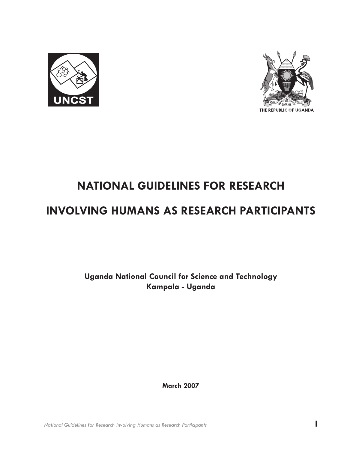



## **NATIONAL GUIDELINES FOR RESEARCH**

## **INVOLVING HUMANS AS RESEARCH PARTICIPANTS**

**Uganda National Council for Science and Technology Kampala - Uganda**

**March 2007**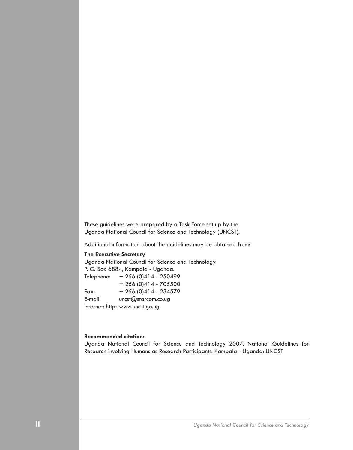These guidelines were prepared by a Task Force set up by the Uganda National Council for Science and Technology (UNCST).

Additional information about the guidelines may be obtained from:

#### **The Executive Secretary**

Uganda National Council for Science and Technology P. O. Box 6884, Kampala - Uganda. Telephone: + 256 (0)414 - 250499 + 256 (0)414 - 705500 Fax:  $+ 256 (0)414 - 234579$ E-mail: uncst@starcom.co.ug Internet: http: www.uncst.go.ug

#### **Recommended citation:**

Uganda National Council for Science and Technology 2007. National Guidelines for Research involving Humans as Research Participants. Kampala - Uganda: UNCST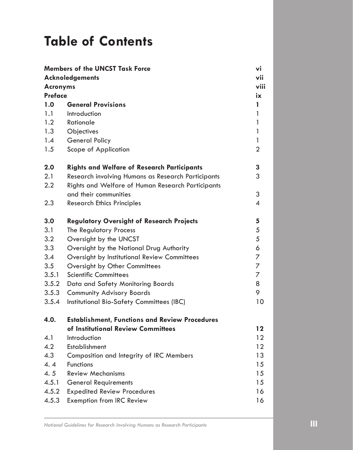# **Table of Contents**

| <b>Members of the UNCST Task Force</b>    |                                                       | vi                       |                |
|-------------------------------------------|-------------------------------------------------------|--------------------------|----------------|
| <b>Acknoledgements</b><br><b>Acronyms</b> |                                                       |                          |                |
|                                           |                                                       |                          | <b>Preface</b> |
| 1.0                                       | <b>General Provisions</b>                             | 1                        |                |
| 1.1                                       | Introduction                                          | 1                        |                |
| 1.2                                       | Rationale                                             | 1                        |                |
| 1.3                                       | Objectives                                            | 1                        |                |
| 1.4                                       | <b>General Policy</b>                                 | 1                        |                |
| 1.5                                       | Scope of Application                                  | $\overline{2}$           |                |
| 2.0                                       | <b>Rights and Welfare of Research Participants</b>    | 3                        |                |
| 2.1                                       | Research involving Humans as Research Participants    | 3                        |                |
| 2.2                                       | Rights and Welfare of Human Research Participants     |                          |                |
|                                           | and their communities                                 | 3                        |                |
| 2.3                                       | <b>Research Ethics Principles</b>                     | $\overline{\mathcal{A}}$ |                |
| 3.0                                       | <b>Regulatory Oversight of Research Projects</b>      | 5                        |                |
| 3.1                                       | The Regulatory Process                                | 5                        |                |
| 3.2                                       | Oversight by the UNCST                                | 5                        |                |
| 3.3                                       | Oversight by the National Drug Authority              | 6                        |                |
| 3.4                                       | Oversight by Institutional Review Committees          | 7                        |                |
| 3.5                                       | Oversight by Other Committees                         | 7                        |                |
| 3.5.1                                     | <b>Scientific Committees</b>                          | 7                        |                |
| 3.5.2                                     | Data and Safety Monitoring Boards                     | 8                        |                |
| 3.5.3                                     | <b>Community Advisory Boards</b>                      | 9                        |                |
| 3.5.4                                     | Institutional Bio-Safety Committees (IBC)             | 10                       |                |
| 4.0.                                      | <b>Establishment, Functions and Review Procedures</b> |                          |                |
|                                           | of Institutional Review Committees                    | $12 \,$                  |                |
| 4.1                                       | Introduction                                          | 12                       |                |
| 4.2                                       | Establishment                                         | 12                       |                |
| 4.3                                       | Composition and Integrity of IRC Members              | 13                       |                |
| 4.4                                       | <b>Functions</b>                                      | 15                       |                |
| 4.5                                       | <b>Review Mechanisms</b>                              | 15                       |                |
| 4.5.1                                     | <b>General Requirements</b>                           | 15                       |                |
| 4.5.2                                     | <b>Expedited Review Procedures</b>                    | 16                       |                |
| 4.5.3                                     | <b>Exemption from IRC Review</b>                      | 16                       |                |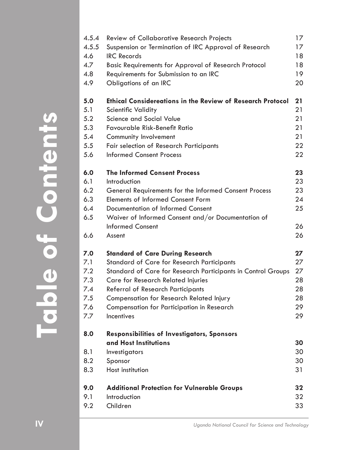| 4.5.4 | Review of Collaborative Research Projects                         | 17 |
|-------|-------------------------------------------------------------------|----|
| 4.5.5 | Suspension or Termination of IRC Approval of Research             | 17 |
| 4.6   | <b>IRC Records</b>                                                | 18 |
| 4.7   | <b>Basic Requirements for Approval of Research Protocol</b>       | 18 |
| 4.8   | Requirements for Submission to an IRC                             | 19 |
| 4.9   | Obligations of an IRC                                             | 20 |
|       |                                                                   |    |
| 5.0   | <b>Ethical Considereations in the Review of Research Protocol</b> | 21 |
| 5.1   | <b>Scientific Validity</b>                                        | 21 |
| 5.2   | Science and Social Value                                          | 21 |
| 5.3   | Favourable Risk-Benefit Ratio                                     | 21 |
| 5.4   | Community Involvement                                             | 21 |
| 5.5   | <b>Fair selection of Research Participants</b>                    | 22 |
| 5.6   | <b>Informed Consent Process</b>                                   | 22 |
|       |                                                                   |    |
| 6.0   | <b>The Informed Consent Process</b>                               | 23 |
| 6.1   | Introduction                                                      | 23 |
| 6.2   | General Requirements for the Informed Consent Process             | 23 |
| 6.3   | <b>Elements of Informed Consent Form</b>                          | 24 |
| 6.4   | Documentation of Informed Consent                                 | 25 |
| 6.5   | Waiver of Informed Consent and/or Documentation of                |    |
|       | <b>Informed Consent</b>                                           | 26 |
| 6.6   | Assent                                                            | 26 |
|       |                                                                   |    |
| 7.0   | <b>Standard of Care During Research</b>                           | 27 |
| 7.1   | Standard of Care for Research Participants                        | 27 |
| 7.2   | Standard of Care for Research Participants in Control Groups      | 27 |
| 7.3   | Care for Research Related Injuries                                | 28 |
| 7.4   | <b>Referral of Research Participants</b>                          | 28 |
| 7.5   | Compensation for Research Related Injury                          | 28 |
| 7.6   | Compensation for Participation in Research                        | 29 |
| 7.7   | Incentives                                                        | 29 |
|       |                                                                   |    |
| 8.0   | <b>Responsibilities of Investigators, Sponsors</b>                |    |
|       | and Host Institutions                                             | 30 |
| 8.1   | Investigators                                                     | 30 |
| 8.2   | Sponsor                                                           | 30 |
| 8.3   | Host institution                                                  | 31 |
| 9.0   | <b>Additional Protection for Vulnerable Groups</b>                | 32 |
| 9.1   | Introduction                                                      | 32 |
| 9.2   | Children                                                          | 33 |
|       |                                                                   |    |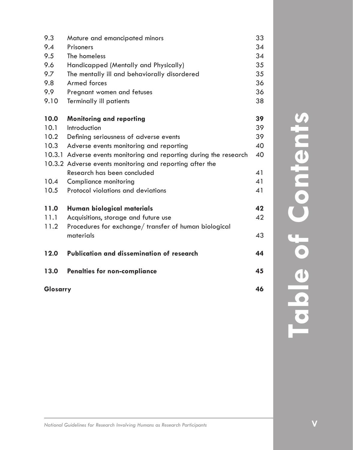| 46<br>Glosarry                                   |                                                                                                                                                                                                                                                                                                                                                                                      |  |
|--------------------------------------------------|--------------------------------------------------------------------------------------------------------------------------------------------------------------------------------------------------------------------------------------------------------------------------------------------------------------------------------------------------------------------------------------|--|
| <b>Penalties for non-compliance</b>              | 45                                                                                                                                                                                                                                                                                                                                                                                   |  |
| <b>Publication and dissemination of research</b> | 44                                                                                                                                                                                                                                                                                                                                                                                   |  |
| materials                                        | 43                                                                                                                                                                                                                                                                                                                                                                                   |  |
|                                                  |                                                                                                                                                                                                                                                                                                                                                                                      |  |
|                                                  | 42                                                                                                                                                                                                                                                                                                                                                                                   |  |
|                                                  | 42                                                                                                                                                                                                                                                                                                                                                                                   |  |
| Protocol violations and deviations               | 41                                                                                                                                                                                                                                                                                                                                                                                   |  |
| Compliance monitoring                            | 41                                                                                                                                                                                                                                                                                                                                                                                   |  |
| Research has been concluded                      | 41                                                                                                                                                                                                                                                                                                                                                                                   |  |
|                                                  |                                                                                                                                                                                                                                                                                                                                                                                      |  |
|                                                  | 40                                                                                                                                                                                                                                                                                                                                                                                   |  |
|                                                  | 40                                                                                                                                                                                                                                                                                                                                                                                   |  |
|                                                  | 39                                                                                                                                                                                                                                                                                                                                                                                   |  |
| Introduction                                     | 39                                                                                                                                                                                                                                                                                                                                                                                   |  |
|                                                  | 39                                                                                                                                                                                                                                                                                                                                                                                   |  |
| <b>Terminally ill patients</b>                   | 38                                                                                                                                                                                                                                                                                                                                                                                   |  |
| Pregnant women and fetuses                       | 36                                                                                                                                                                                                                                                                                                                                                                                   |  |
| Armed forces                                     | 36                                                                                                                                                                                                                                                                                                                                                                                   |  |
| The mentally ill and behaviorally disordered     | 35                                                                                                                                                                                                                                                                                                                                                                                   |  |
| Handicapped (Mentally and Physically)            | 35                                                                                                                                                                                                                                                                                                                                                                                   |  |
| The homeless                                     | 34                                                                                                                                                                                                                                                                                                                                                                                   |  |
| Prisoners                                        | 34                                                                                                                                                                                                                                                                                                                                                                                   |  |
| Mature and emancipated minors                    | 33                                                                                                                                                                                                                                                                                                                                                                                   |  |
|                                                  | <b>Monitoring and reporting</b><br>Defining seriousness of adverse events<br>Adverse events monitoring and reporting<br>10.3.1 Adverse events monitoring and reporting during the research<br>10.3.2 Adverse events monitoring and reporting after the<br>Human biological materials<br>Acquisitions, storage and future use<br>Procedures for exchange/transfer of human biological |  |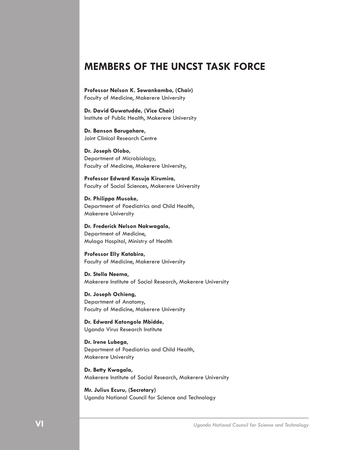### **MEMBERS OF THE UNCST TASK FORCE**

**Professor Nelson K. Sewankambo, (Chair)** Faculty of Medicine, Makerere University

**Dr. David Guwatudde, (Vice Chair)** Institute of Public Health, Makerere University

**Dr. Banson Barugahare,**  Joint Clinical Research Centre

**Dr. Joseph Olobo,**  Department of Microbiology, Faculty of Medicine, Makerere University,

**Professor Edward Kasuja Kirumira,**  Faculty of Social Sciences, Makerere University

**Dr. Philippa Musoke,**  Department of Paediatrics and Child Health, Makerere University

**Dr. Frederick Nelson Nakwagala,**  Department of Medicine, Mulago Hospital, Ministry of Health

**Professor Elly Katabira,**  Faculty of Medicine, Makerere University

**Dr. Stella Neema**, Makerere Institute of Social Research, Makerere University

**Dr. Joseph Ochieng,** Department of Anatomy, Faculty of Medicine, Makerere University

**Dr. Edward Katongole Mbidde,**  Uganda Virus Research Institute

**Dr. Irene Lubega,**  Department of Paediatrics and Child Health, Makerere University

**Dr. Betty Kwagala,** Makerere Institute of Social Research, Makerere University

**Mr. Julius Ecuru, (Secretary)** Uganda National Council for Science and Technology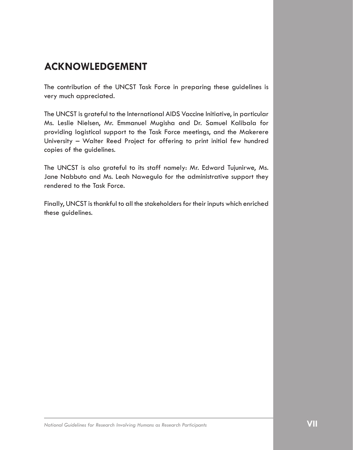## **ACKNOWLEDGEMENT**

The contribution of the UNCST Task Force in preparing these guidelines is very much appreciated.

The UNCST is grateful to the International AIDS Vaccine Initiative, in particular Ms. Leslie Nielsen, Mr. Emmanuel Mugisha and Dr. Samuel Kalibala for providing logistical support to the Task Force meetings, and the Makerere University – Walter Reed Project for offering to print initial few hundred copies of the guidelines.

The UNCST is also grateful to its staff namely: Mr. Edward Tujunirwe, Ms. Jane Nabbuto and Ms. Leah Nawegulo for the administrative support they rendered to the Task Force.

Finally, UNCST is thankful to all the stakeholders for their inputs which enriched these guidelines.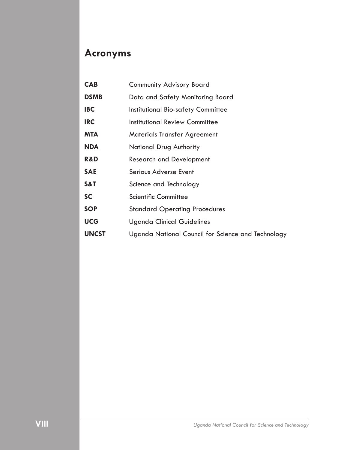## **Acronyms**

| <b>CAB</b>     | <b>Community Advisory Board</b>                    |
|----------------|----------------------------------------------------|
| <b>DSMB</b>    | Data and Safety Monitoring Board                   |
| <b>IBC</b>     | Institutional Bio-safety Committee                 |
| <b>IRC</b>     | <b>Institutional Review Committee</b>              |
| <b>MTA</b>     | <b>Materials Transfer Agreement</b>                |
| <b>NDA</b>     | National Drug Authority                            |
| <b>R&amp;D</b> | <b>Research and Development</b>                    |
| <b>SAE</b>     | Serious Adverse Event                              |
| S&T            | Science and Technology                             |
| <b>SC</b>      | Scientific Committee                               |
| <b>SOP</b>     | <b>Standard Operating Procedures</b>               |
| <b>UCG</b>     | <b>Uganda Clinical Guidelines</b>                  |
| <b>UNCST</b>   | Uganda National Council for Science and Technology |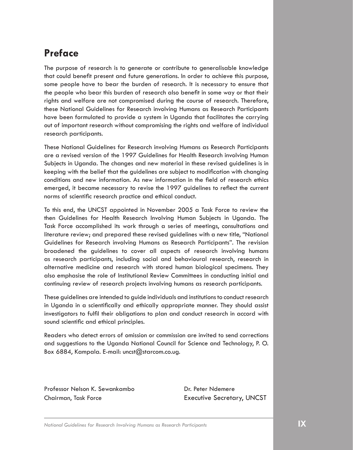## **Preface**

The purpose of research is to generate or contribute to generalisable knowledge that could benefit present and future generations. In order to achieve this purpose, some people have to bear the burden of research. It is necessary to ensure that the people who bear this burden of research also benefit in some way or that their rights and welfare are not compromised during the course of research. Therefore, these National Guidelines for Research involving Humans as Research Participants have been formulated to provide a system in Uganda that facilitates the carrying out of important research without compromising the rights and welfare of individual research participants.

These National Guidelines for Research involving Humans as Research Participants are a revised version of the 1997 Guidelines for Health Research involving Human Subjects in Uganda. The changes and new material in these revised guidelines is in keeping with the belief that the guidelines are subject to modification with changing conditions and new information. As new information in the field of research ethics emerged, it became necessary to revise the 1997 guidelines to reflect the current norms of scientific research practice and ethical conduct.

To this end, the UNCST appointed in November 2005 a Task Force to review the then Guidelines for Health Research Involving Human Subjects in Uganda. The Task Force accomplished its work through a series of meetings, consultations and literature review; and prepared these revised guidelines with a new title, "National Guidelines for Research involving Humans as Research Participants". The revision broadened the guidelines to cover all aspects of research involving humans as research participants, including social and behavioural research, research in alternative medicine and research with stored human biological specimens. They also emphasise the role of Institutional Review Committees in conducting initial and continuing review of research projects involving humans as research participants.

These guidelines are intended to guide individuals and institutions to conduct research in Uganda in a scientifically and ethically appropriate manner. They should assist investigators to fulfil their obligations to plan and conduct research in accord with sound scientific and ethical principles.

Readers who detect errors of omission or commission are invited to send corrections and suggestions to the Uganda National Council for Science and Technology, P. O. Box 6884, Kampala. E-mail: uncst@starcom.co.ug.

Professor Nelson K. Sewankambo Dr. Peter Ndemere Chairman, Task Force Executive Secretary, UNCST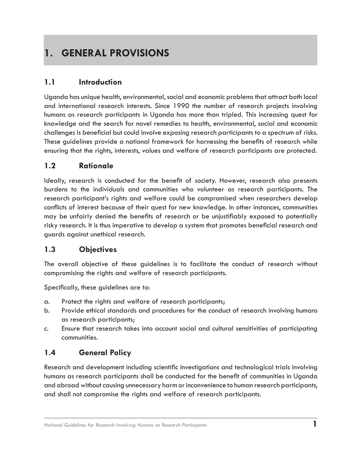## **1. GENERAL PROVISIONS**

#### **1.1 Introduction**

Uganda has unique health, environmental, social and economic problems that attract both local and international research interests. Since 1990 the number of research projects involving humans as research participants in Uganda has more than tripled. This increasing quest for knowledge and the search for novel remedies to health, environmental, social and economic challenges is beneficial but could involve exposing research participants to a spectrum of risks. These guidelines provide a national framework for harnessing the benefits of research while ensuring that the rights, interests, values and welfare of research participants are protected.

#### **1.2 Rationale**

Ideally, research is conducted for the benefit of society. However, research also presents burdens to the individuals and communities who volunteer as research participants. The research participant's rights and welfare could be compromised when researchers develop conflicts of interest because of their quest for new knowledge. In other instances, communities may be unfairly denied the benefits of research or be unjustifiably exposed to potentially risky research. It is thus imperative to develop a system that promotes beneficial research and guards against unethical research.

#### **1.3 Objectives**

The overall objective of these guidelines is to facilitate the conduct of research without compromising the rights and welfare of research participants.

Specifically, these guidelines are to:

- a. Protect the rights and welfare of research participants;
- b. Provide ethical standards and procedures for the conduct of research involving humans as research participants;
- c. Ensure that research takes into account social and cultural sensitivities of participating communities.

#### **1.4 General Policy**

Research and development including scientific investigations and technological trials involving humans as research participants shall be conducted for the benefit of communities in Uganda and abroad without causing unnecessary harm or inconvenience to human research participants, and shall not compromise the rights and welfare of research participants.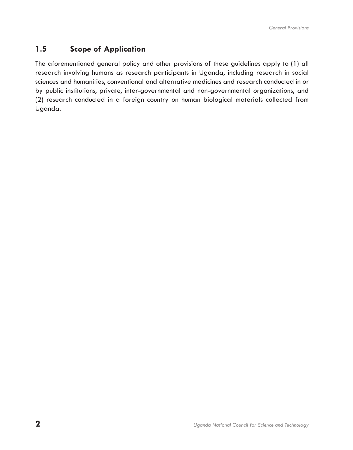#### **1.5 Scope of Application**

The aforementioned general policy and other provisions of these guidelines apply to (1) all research involving humans as research participants in Uganda, including research in social sciences and humanities, conventional and alternative medicines and research conducted in or by public institutions, private, inter-governmental and non-governmental organizations, and (2) research conducted in a foreign country on human biological materials collected from Uganda.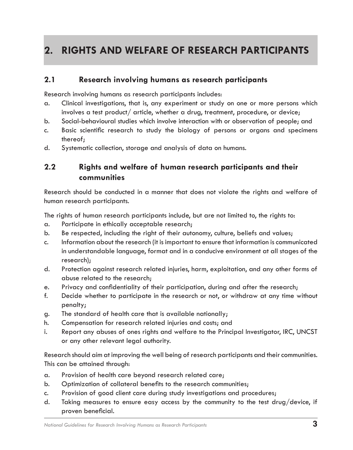## **2. RIGHTS AND WELFARE OF RESEARCH PARTICIPANTS**

#### **2.1 Research involving humans as research participants**

Research involving humans as research participants includes:

- a. Clinical investigations, that is, any experiment or study on one or more persons which involves a test product/ article, whether a drug, treatment, procedure, or device;
- b. Social-behavioural studies which involve interaction with or observation of people; and
- c. Basic scientific research to study the biology of persons or organs and specimens thereof;
- d. Systematic collection, storage and analysis of data on humans.

#### **2.2 Rights and welfare of human research participants and their communities**

Research should be conducted in a manner that does not violate the rights and welfare of human research participants.

The rights of human research participants include, but are not limited to, the rights to:

- a. Participate in ethically acceptable research;
- b. Be respected, including the right of their autonomy, culture, beliefs and values;
- c. Information about the research (it is important to ensure that information is communicated in understandable language, format and in a conducive environment at all stages of the research);
- d. Protection against research related injuries, harm, exploitation, and any other forms of abuse related to the research;
- e. Privacy and confidentiality of their participation, during and after the research;
- f. Decide whether to participate in the research or not, or withdraw at any time without penalty;
- g. The standard of health care that is available nationally;
- h. Compensation for research related injuries and costs; and
- i. Report any abuses of ones rights and welfare to the Principal Investigator, IRC, UNCST or any other relevant legal authority.

Research should aim at improving the well being of research participants and their communities. This can be attained through:

- a. Provision of health care beyond research related care;
- b. Optimization of collateral benefits to the research communities;
- c. Provision of good client care during study investigations and procedures;
- d. Taking measures to ensure easy access by the community to the test drug/device, if proven beneficial.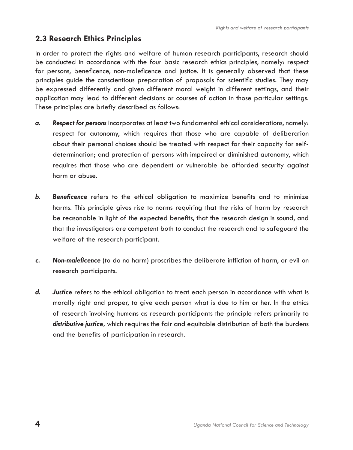#### **2.3 Research Ethics Principles**

In order to protect the rights and welfare of human research participants, research should be conducted in accordance with the four basic research ethics principles, namely: respect for persons, beneficence, non-maleficence and justice. It is generally observed that these principles guide the conscientious preparation of proposals for scientific studies. They may be expressed differently and given different moral weight in different settings, and their application may lead to different decisions or courses of action in those particular settings. These principles are briefly described as follows:

- *a. Respect for persons* incorporates at least two fundamental ethical considerations, namely: respect for autonomy, which requires that those who are capable of deliberation about their personal choices should be treated with respect for their capacity for selfdetermination; and protection of persons with impaired or diminished autonomy, which requires that those who are dependent or vulnerable be afforded security against harm or abuse.
- **b.** Beneficence refers to the ethical obligation to maximize benefits and to minimize harms. This principle gives rise to norms requiring that the risks of harm by research be reasonable in light of the expected benefits, that the research design is sound, and that the investigators are competent both to conduct the research and to safeguard the welfare of the research participant.
- *c. Non-maleficence* (to do no harm) proscribes the deliberate infliction of harm, or evil on research participants.
- **d.** Justice refers to the ethical obligation to treat each person in accordance with what is morally right and proper, to give each person what is due to him or her. In the ethics of research involving humans as research participants the principle refers primarily to *distributive justice***,** which requires the fair and equitable distribution of both the burdens and the benefits of participation in research.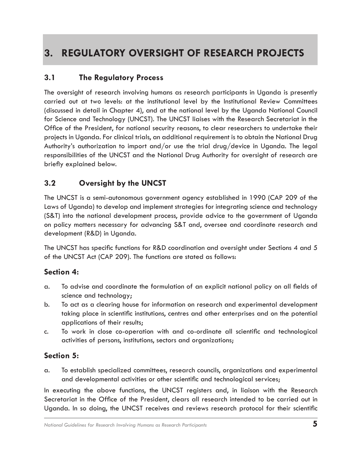## **3. REGULATORY OVERSIGHT OF RESEARCH PROJECTS**

#### **3.1 The Regulatory Process**

The oversight of research involving humans as research participants in Uganda is presently carried out at two levels: at the institutional level by the Institutional Review Committees (discussed in detail in Chapter 4), and at the national level by the Uganda National Council for Science and Technology (UNCST). The UNCST liaises with the Research Secretariat in the Office of the President, for national security reasons, to clear researchers to undertake their projects in Uganda. For clinical trials, an additional requirement is to obtain the National Drug Authority's authorization to import and/or use the trial drug/device in Uganda. The legal responsibilities of the UNCST and the National Drug Authority for oversight of research are briefly explained below.

#### **3.2 Oversight by the UNCST**

The UNCST is a semi-autonomous government agency established in 1990 (CAP 209 of the Laws of Uganda) to develop and implement strategies for integrating science and technology (S&T) into the national development process, provide advice to the government of Uganda on policy matters necessary for advancing S&T and, oversee and coordinate research and development (R&D) in Uganda.

The UNCST has specific functions for R&D coordination and oversight under Sections 4 and 5 of the UNCST Act (CAP 209). The functions are stated as follows:

#### **Section 4:**

- a. To advise and coordinate the formulation of an explicit national policy on all fields of science and technology;
- b. To act as a clearing house for information on research and experimental development taking place in scientific institutions, centres and other enterprises and on the potential applications of their results;
- c. To work in close co-operation with and co-ordinate all scientific and technological activities of persons, institutions, sectors and organizations;

### **Section 5:**

a. To establish specialized committees, research councils, organizations and experimental and developmental activities or other scientific and technological services;

In executing the above functions, the UNCST registers and, in liaison with the Research Secretariat in the Office of the President, clears all research intended to be carried out in Uganda. In so doing, the UNCST receives and reviews research protocol for their scientific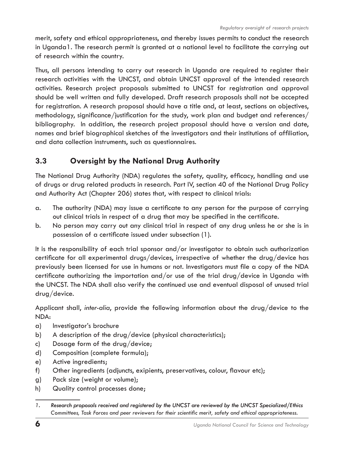merit, safety and ethical appropriateness, and thereby issues permits to conduct the research in Uganda1. The research permit is granted at a national level to facilitate the carrying out of research within the country.

Thus, all persons intending to carry out research in Uganda are required to register their research activities with the UNCST, and obtain UNCST approval of the intended research activities. Research project proposals submitted to UNCST for registration and approval should be well written and fully developed. Draft research proposals shall not be accepted for registration. A research proposal should have a title and, at least, sections on objectives, methodology, significance/justification for the study, work plan and budget and references/ bibliography. In addition, the research project proposal should have a version and date, names and brief biographical sketches of the investigators and their institutions of affiliation, and data collection instruments, such as questionnaires.

### **3.3 Oversight by the National Drug Authority**

The National Drug Authority (NDA) regulates the safety, quality, efficacy, handling and use of drugs or drug related products in research. Part IV, section 40 of the National Drug Policy and Authority Act (Chapter 206) states that, with respect to clinical trials:

- a. The authority (NDA) may issue a certificate to any person for the purpose of carrying out clinical trials in respect of a drug that may be specified in the certificate.
- b. No person may carry out any clinical trial in respect of any drug unless he or she is in possession of a certificate issued under subsection (1).

It is the responsibility of each trial sponsor and/or investigator to obtain such authorization certificate for all experimental drugs/devices, irrespective of whether the drug/device has previously been licensed for use in humans or not. Investigators must file a copy of the NDA certificate authorizing the importation and/or use of the trial drug/device in Uganda with the UNCST. The NDA shall also verify the continued use and eventual disposal of unused trial drug/device.

Applicant shall, *inter-alia*, provide the following information about the drug/device to the NDA:

- a) Investigator's brochure
- b) A description of the drug/device (physical characteristics);
- c) Dosage form of the drug/device;
- d) Composition (complete formula);
- e) Active ingredients;
- f) Other ingredients (adjuncts, exipients, preservatives, colour, flavour etc);
- g) Pack size (weight or volume);
- h) Quality control processes done;

*<sup>��.</sup> Research proposals received and registered by the UNCST are reviewed by the UNCST Specialized/E�thics Committees, Task Forces and peer reviewers for their scientific merit, safety and ethical appropriateness.*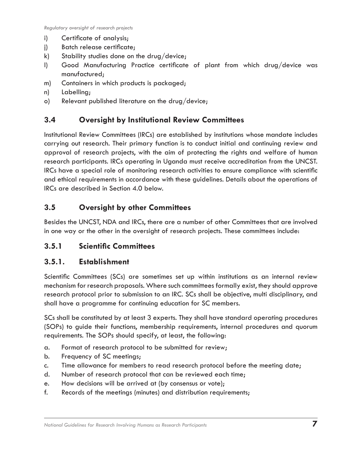- i) Certificate of analysis;
- j) Batch release certificate;
- k) Stability studies done on the drug/device;
- l) Good Manufacturing Practice certificate of plant from which drug/device was manufactured;
- m) Containers in which products is packaged;
- n) Labelling;
- o) Relevant published literature on the drug/device;

#### **3.4 Oversight by Institutional Review Committees**

Institutional Review Committees (IRCs) are established by institutions whose mandate includes carrying out research. Their primary function is to conduct initial and continuing review and approval of research projects, with the aim of protecting the rights and welfare of human research participants. IRCs operating in Uganda must receive accreditation from the UNCST. IRCs have a special role of monitoring research activities to ensure compliance with scientific and ethical requirements in accordance with these guidelines. Details about the operations of IRCs are described in Section 4.0 below.

#### **3.5 Oversight by other Committees**

Besides the UNCST, NDA and IRCs, there are a number of other Committees that are involved in one way or the other in the oversight of research projects. These committees include:

#### **3.5.1 Scientific Committees**

#### **3.5.1. Establishment**

Scientific Committees (SCs) are sometimes set up within institutions as an internal review mechanism for research proposals. Where such committees formally exist, they should approve research protocol prior to submission to an IRC. SCs shall be objective, multi disciplinary, and shall have a programme for continuing education for SC members.

SCs shall be constituted by at least 3 experts. They shall have standard operating procedures (SOPs) to guide their functions, membership requirements, internal procedures and quorum requirements. The SOPs should specify, at least, the following:

- a. Format of research protocol to be submitted for review;
- b. Frequency of SC meetings;
- c. Time allowance for members to read research protocol before the meeting date;
- d. Number of research protocol that can be reviewed each time;
- e. How decisions will be arrived at (by consensus or vote);
- f. Records of the meetings (minutes) and distribution requirements;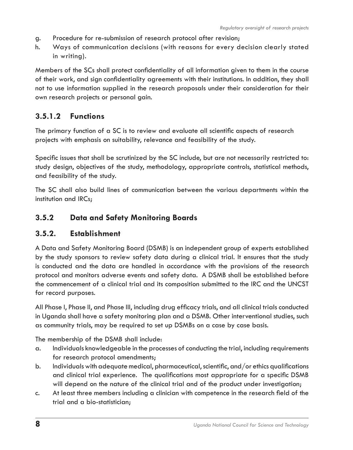- g. Procedure for re-submission of research protocol after revision;
- h. Ways of communication decisions (with reasons for every decision clearly stated in writing).

Members of the SCs shall protect confidentiality of all information given to them in the course of their work, and sign confidentiality agreements with their institutions. In addition, they shall not to use information supplied in the research proposals under their consideration for their own research projects or personal gain.

#### **3.5.1.2 Functions**

The primary function of a SC is to review and evaluate all scientific aspects of research projects with emphasis on suitability, relevance and feasibility of the study.

Specific issues that shall be scrutinized by the SC include, but are not necessarily restricted to: study design, objectives of the study, methodology, appropriate controls, statistical methods, and feasibility of the study.

The SC shall also build lines of communication between the various departments within the institution and IRCs;

#### **3.5.2 Data and Safety Monitoring Boards**

#### **3.5.2. Establishment**

A Data and Safety Monitoring Board (DSMB) is an independent group of experts established by the study sponsors to review safety data during a clinical trial. It ensures that the study is conducted and the data are handled in accordance with the provisions of the research protocol and monitors adverse events and safety data. A DSMB shall be established before the commencement of a clinical trial and its composition submitted to the IRC and the UNCST for record purposes.

All Phase I, Phase II, and Phase III, including drug efficacy trials, and all clinical trials conducted in Uganda shall have a safety monitoring plan and a DSMB. Other interventional studies, such as community trials, may be required to set up DSMBs on a case by case basis.

The membership of the DSMB shall include:

- a. Individuals knowledgeable in the processes of conducting the trial, including requirements for research protocol amendments;
- b. Individuals with adequate medical, pharmaceutical, scientific, and/or ethics qualifications and clinical trial experience. The qualifications most appropriate for a specific DSMB will depend on the nature of the clinical trial and of the product under investigation;
- c. At least three members including a clinician with competence in the research field of the trial and a bio-statistician;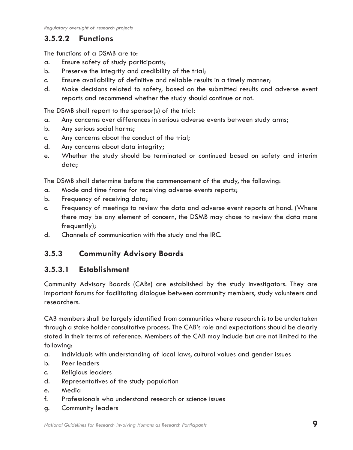#### **3.5.2.2 Functions**

The functions of a DSMB are to:

- a. Ensure safety of study participants;
- b. Preserve the integrity and credibility of the trial;
- c. Ensure availability of definitive and reliable results in a timely manner;
- d. Make decisions related to safety, based on the submitted results and adverse event reports and recommend whether the study should continue or not.

The DSMB shall report to the sponsor(s) of the trial:

- a. Any concerns over differences in serious adverse events between study arms;
- b. Any serious social harms;
- c. Any concerns about the conduct of the trial;
- d. Any concerns about data integrity;
- e. Whether the study should be terminated or continued based on safety and interim data;

The DSMB shall determine before the commencement of the study, the following:

- a. Mode and time frame for receiving adverse events reports;
- b. Frequency of receiving data;
- c. Frequency of meetings to review the data and adverse event reports at hand. (Where there may be any element of concern, the DSMB may chose to review the data more frequently);
- d. Channels of communication with the study and the IRC.

### **3.5.3 Community Advisory Boards**

#### **3.5.3.1 Establishment**

Community Advisory Boards (CABs) are established by the study investigators. They are important forums for facilitating dialogue between community members, study volunteers and researchers.

CAB members shall be largely identified from communities where research is to be undertaken through a stake holder consultative process. The CAB's role and expectations should be clearly stated in their terms of reference. Members of the CAB may include but are not limited to the following:

- a. Individuals with understanding of local laws, cultural values and gender issues
- b. Peer leaders
- c. Religious leaders
- d. Representatives of the study population
- e. Media
- f. Professionals who understand research or science issues
- g. Community leaders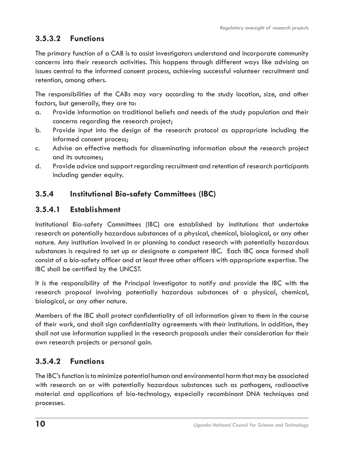### **3.5.3.2 Functions**

The primary function of a CAB is to assist investigators understand and incorporate community concerns into their research activities. This happens through different ways like advising on issues central to the informed consent process, achieving successful volunteer recruitment and retention, among others.

The responsibilities of the CABs may vary according to the study location, size, and other factors, but generally, they are to:

- a. Provide information on traditional beliefs and needs of the study population and their concerns regarding the research project;
- b. Provide input into the design of the research protocol as appropriate including the informed consent process;
- c. Advise on effective methods for disseminating information about the research project and its outcomes;
- d. Provide advice and support regarding recruitment and retention of research participants including gender equity.

### **3.5.4 Institutional Bio-safety Committees (IBC)**

#### **3.5.4.1 Establishment**

Institutional Bio-safety Committees (IBC) are established by institutions that undertake research on potentially hazardous substances of a physical, chemical, biological, or any other nature. Any institution involved in or planning to conduct research with potentially hazardous substances is required to set up or designate a competent IBC. Each IBC once formed shall consist of a bio-safety officer and at least three other officers with appropriate expertise. The IBC shall be certified by the UNCST.

It is the responsibility of the Principal Investigator to notify and provide the IBC with the research proposal involving potentially hazardous substances of a physical, chemical, biological, or any other nature.

Members of the IBC shall protect confidentiality of all information given to them in the course of their work, and shall sign confidentiality agreements with their institutions. In addition, they shall not use information supplied in the research proposals under their consideration for their own research projects or personal gain.

#### **3.5.4.2 Functions**

The IBC's function is to minimize potential human and environmental harm that may be associated with research on or with potentially hazardous substances such as pathogens, radioactive material and applications of bio-technology, especially recombinant DNA techniques and processes.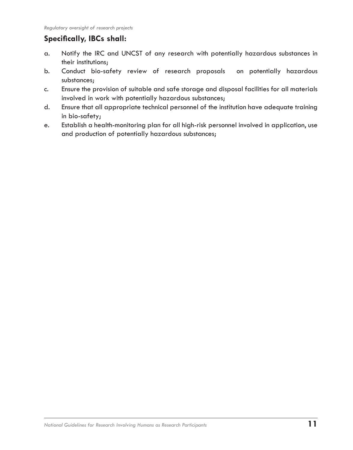### **Specifically, IBCs shall:**

- a. Notify the IRC and UNCST of any research with potentially hazardous substances in their institutions;
- b. Conduct bio-safety review of research proposals on potentially hazardous substances;
- c. Ensure the provision of suitable and safe storage and disposal facilities for all materials involved in work with potentially hazardous substances;
- d. Ensure that all appropriate technical personnel of the institution have adequate training in bio-safety;
- e. Establish a health-monitoring plan for all high-risk personnel involved in application, use and production of potentially hazardous substances;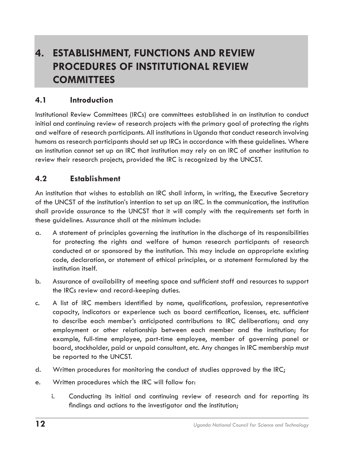## **4. ESTABLISHMENT, FUNCTIONS AND REVIEW PROCEDURES OF INSTITUTIONAL REVIEW COMMITTEES**

#### **4.1 Introduction**

Institutional Review Committees (IRCs) are committees established in an institution to conduct initial and continuing review of research projects with the primary goal of protecting the rights and welfare of research participants. All institutions in Uganda that conduct research involving humans as research participants should set up IRCs in accordance with these guidelines. Where an institution cannot set up an IRC that institution may rely on an IRC of another institution to review their research projects, provided the IRC is recognized by the UNCST.

#### **4.2 Establishment**

An institution that wishes to establish an IRC shall inform, in writing, the Executive Secretary of the UNCST of the institution's intention to set up an IRC. In the communication, the institution shall provide assurance to the UNCST that it will comply with the requirements set forth in these guidelines. Assurance shall at the minimum include:

- a. A statement of principles governing the institution in the discharge of its responsibilities for protecting the rights and welfare of human research participants of research conducted at or sponsored by the institution. This may include an appropriate existing code, declaration, or statement of ethical principles, or a statement formulated by the institution itself.
- b. Assurance of availability of meeting space and sufficient staff and resources to support the IRCs review and record-keeping duties.
- c. A list of IRC members identified by name, qualifications, profession, representative capacity, indicators or experience such as board certification, licenses, etc. sufficient to describe each member's anticipated contributions to IRC deliberations; and any employment or other relationship between each member and the institution; for example, full-time employee, part-time employee, member of governing panel or board, stockholder, paid or unpaid consultant, etc. Any changes in IRC membership must be reported to the UNCST.
- d. Written procedures for monitoring the conduct of studies approved by the IRC;
- e. Written procedures which the IRC will follow for:
	- i. Conducting its initial and continuing review of research and for reporting its findings and actions to the investigator and the institution;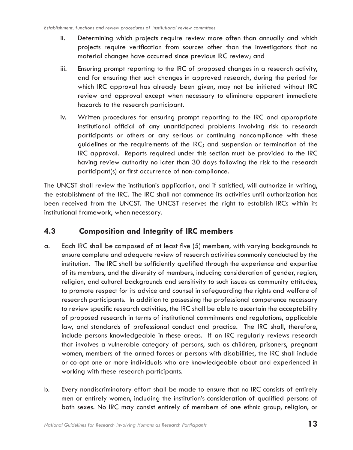- ii. Determining which projects require review more often than annually and which projects require verification from sources other than the investigators that no material changes have occurred since previous IRC review; and
- iii. Ensuring prompt reporting to the IRC of proposed changes in a research activity, and for ensuring that such changes in approved research, during the period for which IRC approval has already been given, may not be initiated without IRC review and approval except when necessary to eliminate apparent immediate hazards to the research participant.
- iv. Written procedures for ensuring prompt reporting to the IRC and appropriate institutional official of any unanticipated problems involving risk to research participants or others or any serious or continuing noncompliance with these guidelines or the requirements of the IRC; and suspension or termination of the IRC approval. Reports required under this section must be provided to the IRC having review authority no later than 30 days following the risk to the research participant(s) or first occurrence of non-compliance.

The UNCST shall review the institution's application, and if satisfied, will authorize in writing, the establishment of the IRC. The IRC shall not commence its activities until authorization has been received from the UNCST. The UNCST reserves the right to establish IRCs within its institutional framework, when necessary.

#### **4.3 Composition and Integrity of IRC members**

- a. Each IRC shall be composed of at least five (5) members, with varying backgrounds to ensure complete and adequate review of research activities commonly conducted by the institution. The IRC shall be sufficiently qualified through the experience and expertise of its members, and the diversity of members, including consideration of gender, region, religion, and cultural backgrounds and sensitivity to such issues as community attitudes, to promote respect for its advice and counsel in safeguarding the rights and welfare of research participants. In addition to possessing the professional competence necessary to review specific research activities, the IRC shall be able to ascertain the acceptability of proposed research in terms of institutional commitments and regulations, applicable law, and standards of professional conduct and practice. The IRC shall, therefore, include persons knowledgeable in these areas. If an IRC regularly reviews research that involves a vulnerable category of persons, such as children, prisoners, pregnant women, members of the armed forces or persons with disabilities, the IRC shall include or co-opt one or more individuals who are knowledgeable about and experienced in working with these research participants.
- b. Every nondiscriminatory effort shall be made to ensure that no IRC consists of entirely men or entirely women, including the institution's consideration of qualified persons of both sexes. No IRC may consist entirely of members of one ethnic group, religion, or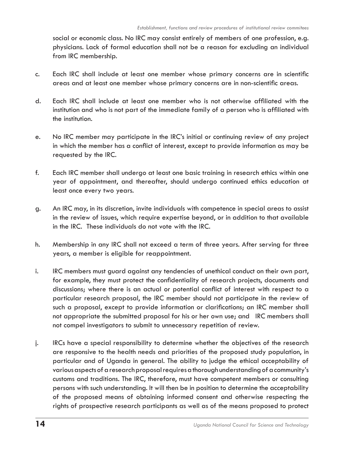social or economic class. No IRC may consist entirely of members of one profession, e.g. physicians. Lack of formal education shall not be a reason for excluding an individual from IRC membership.

- c. Each IRC shall include at least one member whose primary concerns are in scientific areas and at least one member whose primary concerns are in non-scientific areas.
- d. Each IRC shall include at least one member who is not otherwise affiliated with the institution and who is not part of the immediate family of a person who is affiliated with the institution.
- e. No IRC member may participate in the IRC's initial or continuing review of any project in which the member has a conflict of interest, except to provide information as may be requested by the IRC.
- f. Each IRC member shall undergo at least one basic training in research ethics within one year of appointment, and thereafter, should undergo continued ethics education at least once every two years.
- g. An IRC may, in its discretion, invite individuals with competence in special areas to assist in the review of issues, which require expertise beyond, or in addition to that available in the IRC. These individuals do not vote with the IRC.
- h. Membership in any IRC shall not exceed a term of three years. After serving for three years, a member is eligible for reappointment.
- i. IRC members must guard against any tendencies of unethical conduct on their own part, for example, they must protect the confidentiality of research projects, documents and discussions; where there is an actual or potential conflict of interest with respect to a particular research proposal, the IRC member should not participate in the review of such a proposal, except to provide information or clarifications; an IRC member shall not appropriate the submitted proposal for his or her own use; and IRC members shall not compel investigators to submit to unnecessary repetition of review.
- j. IRCs have a special responsibility to determine whether the objectives of the research are responsive to the health needs and priorities of the proposed study population, in particular and of Uganda in general. The ability to judge the ethical acceptability of various aspects of a research proposal requires a thorough understanding of a community's customs and traditions. The IRC, therefore, must have competent members or consulting persons with such understanding. It will then be in position to determine the acceptability of the proposed means of obtaining informed consent and otherwise respecting the rights of prospective research participants as well as of the means proposed to protect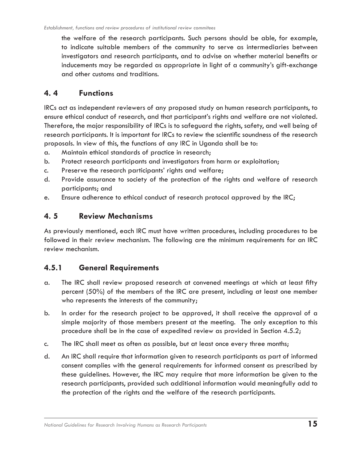the welfare of the research participants. Such persons should be able, for example, to indicate suitable members of the community to serve as intermediaries between investigators and research participants, and to advise on whether material benefits or inducements may be regarded as appropriate in light of a community's gift-exchange and other customs and traditions.

#### **4. 4 Functions**

IRCs act as independent reviewers of any proposed study on human research participants, to ensure ethical conduct of research, and that participant's rights and welfare are not violated. Therefore, the major responsibility of IRCs is to safeguard the rights, safety, and well being of research participants. It is important for IRCs to review the scientific soundness of the research proposals. In view of this, the functions of any IRC in Uganda shall be to:

- a. Maintain ethical standards of practice in research;
- b. Protect research participants and investigators from harm or exploitation;
- c. Preserve the research participants' rights and welfare;
- d. Provide assurance to society of the protection of the rights and welfare of research participants; and
- e. Ensure adherence to ethical conduct of research protocol approved by the IRC;

#### **4. 5 Review Mechanisms**

As previously mentioned, each IRC must have written procedures, including procedures to be followed in their review mechanism. The following are the minimum requirements for an IRC review mechanism.

#### **4.5.1 General Requirements**

- a. The IRC shall review proposed research at convened meetings at which at least fifty percent (50%) of the members of the IRC are present, including at least one member who represents the interests of the community;
- b. In order for the research project to be approved, it shall receive the approval of a simple majority of those members present at the meeting. The only exception to this procedure shall be in the case of expedited review as provided in Section 4.5.2;
- c. The IRC shall meet as often as possible, but at least once every three months;
- d. An IRC shall require that information given to research participants as part of informed consent complies with the general requirements for informed consent as prescribed by these guidelines. However, the IRC may require that more information be given to the research participants, provided such additional information would meaningfully add to the protection of the rights and the welfare of the research participants.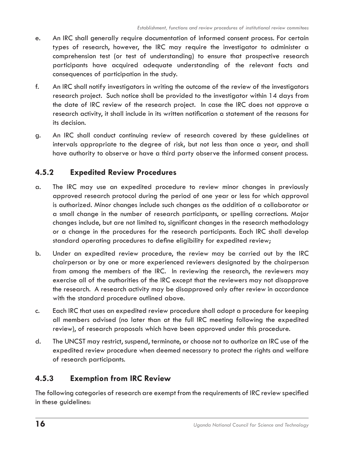- e. An IRC shall generally require documentation of informed consent process. For certain types of research, however, the IRC may require the investigator to administer a comprehension test (or test of understanding) to ensure that prospective research participants have acquired adequate understanding of the relevant facts and consequences of participation in the study.
- f. An IRC shall notify investigators in writing the outcome of the review of the investigators research project. Such notice shall be provided to the investigator within 14 days from the date of IRC review of the research project. In case the IRC does not approve a research activity, it shall include in its written notification a statement of the reasons for its decision.
- g. An IRC shall conduct continuing review of research covered by these guidelines at intervals appropriate to the degree of risk, but not less than once a year, and shall have authority to observe or have a third party observe the informed consent process.

### **4.5.2 Expedited Review Procedures**

- a. The IRC may use an expedited procedure to review minor changes in previously approved research protocol during the period of one year or less for which approval is authorized. Minor changes include such changes as the addition of a collaborator or a small change in the number of research participants, or spelling corrections. Major changes include, but are not limited to, significant changes in the research methodology or a change in the procedures for the research participants. Each IRC shall develop standard operating procedures to define eligibility for expedited review;
- b. Under an expedited review procedure, the review may be carried out by the IRC chairperson or by one or more experienced reviewers designated by the chairperson from among the members of the IRC. In reviewing the research, the reviewers may exercise all of the authorities of the IRC except that the reviewers may not disapprove the research. A research activity may be disapproved only after review in accordance with the standard procedure outlined above.
- c. Each IRC that uses an expedited review procedure shall adopt a procedure for keeping all members advised (no later than at the full IRC meeting following the expedited review), of research proposals which have been approved under this procedure.
- d. The UNCST may restrict, suspend, terminate, or choose not to authorize an IRC use of the expedited review procedure when deemed necessary to protect the rights and welfare of research participants.

### **4.5.3 Exemption from IRC Review**

The following categories of research are exempt from the requirements of IRC review specified in these guidelines: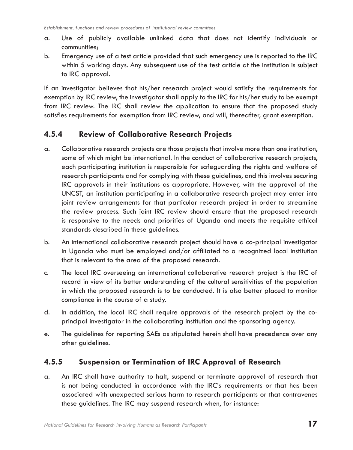- a. Use of publicly available unlinked data that does not identify individuals or communities;
- b. Emergency use of a test article provided that such emergency use is reported to the IRC within 5 working days. Any subsequent use of the test article at the institution is subject to IRC approval.

If an investigator believes that his/her research project would satisfy the requirements for exemption by IRC review, the investigator shall apply to the IRC for his/her study to be exempt from IRC review. The IRC shall review the application to ensure that the proposed study satisfies requirements for exemption from IRC review, and will, thereafter, grant exemption.

#### **4.5.4 Review of Collaborative Research Projects**

- a. Collaborative research projects are those projects that involve more than one institution, some of which might be international. In the conduct of collaborative research projects, each participating institution is responsible for safeguarding the rights and welfare of research participants and for complying with these guidelines, and this involves securing IRC approvals in their institutions as appropriate. However, with the approval of the UNCST, an institution participating in a collaborative research project may enter into joint review arrangements for that particular research project in order to streamline the review process. Such joint IRC review should ensure that the proposed research is responsive to the needs and priorities of Uganda and meets the requisite ethical standards described in these guidelines.
- b. An international collaborative research project should have a co-principal investigator in Uganda who must be employed and/or affiliated to a recognized local institution that is relevant to the area of the proposed research.
- c. The local IRC overseeing an international collaborative research project is the IRC of record in view of its better understanding of the cultural sensitivities of the population in which the proposed research is to be conducted. It is also better placed to monitor compliance in the course of a study.
- d. In addition, the local IRC shall require approvals of the research project by the coprincipal investigator in the collaborating institution and the sponsoring agency.
- e. The guidelines for reporting SAEs as stipulated herein shall have precedence over any other guidelines.

#### **4.5.5 Suspension or Termination of IRC Approval of Research**

a. An IRC shall have authority to halt, suspend or terminate approval of research that is not being conducted in accordance with the IRC's requirements or that has been associated with unexpected serious harm to research participants or that contravenes these guidelines. The IRC may suspend research when, for instance: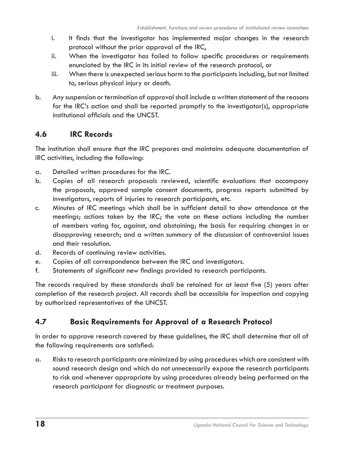- i. It finds that the investigator has implemented major changes in the research protocol without the prior approval of the IRC,
- ii. When the investigator has failed to follow specific procedures or requirements enunciated by the IRC in its initial review of the research protocol, or
- iii. When there is unexpected serious harm to the participants including, but not limited to, serious physical injury or death.
- b. Any suspension or termination of approval shall include a written statement of the reasons for the IRC's action and shall be reported promptly to the investigator(s), appropriate institutional officials and the UNCST.

#### **4.6 IRC Records**

The institution shall ensure that the IRC prepares and maintains adequate documentation of IRC activities, including the following:

- a. Detailed written procedures for the IRC.
- b. Copies of all research proposals reviewed, scientific evaluations that accompany the proposals, approved sample consent documents, progress reports submitted by investigators, reports of injuries to research participants, etc.
- c. Minutes of IRC meetings which shall be in sufficient detail to show attendance at the meetings; actions taken by the IRC; the vote on these actions including the number of members voting for, against, and abstaining; the basis for requiring changes in or disapproving research; and a written summary of the discussion of controversial issues and their resolution.
- d. Records of continuing review activities.
- e. Copies of all correspondence between the IRC and investigators.
- f. Statements of significant new findings provided to research participants.

The records required by these standards shall be retained for at least five (5) years after completion of the research project. All records shall be accessible for inspection and copying by authorized representatives of the UNCST.

#### **4.7 Basic Requirements for Approval of a Research Protocol**

In order to approve research covered by these guidelines, the IRC shall determine that all of the following requirements are satisfied:

a. Risks to research participants are minimized by using procedures which are consistent with sound research design and which do not unnecessarily expose the research participants to risk and whenever appropriate by using procedures already being performed on the research participant for diagnostic or treatment purposes.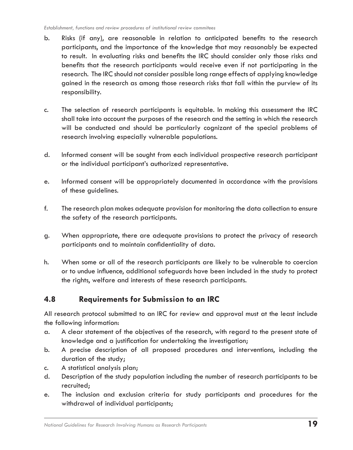- b. Risks (if any), are reasonable in relation to anticipated benefits to the research participants, and the importance of the knowledge that may reasonably be expected to result. In evaluating risks and benefits the IRC should consider only those risks and benefits that the research participants would receive even if not participating in the research. The IRC should not consider possible long range effects of applying knowledge gained in the research as among those research risks that fall within the purview of its responsibility.
- c. The selection of research participants is equitable. In making this assessment the IRC shall take into account the purposes of the research and the setting in which the research will be conducted and should be particularly cognizant of the special problems of research involving especially vulnerable populations.
- d. Informed consent will be sought from each individual prospective research participant or the individual participant's authorized representative.
- e. Informed consent will be appropriately documented in accordance with the provisions of these guidelines.
- f. The research plan makes adequate provision for monitoring the data collection to ensure the safety of the research participants.
- g. When appropriate, there are adequate provisions to protect the privacy of research participants and to maintain confidentiality of data.
- h. When some or all of the research participants are likely to be vulnerable to coercion or to undue influence, additional safeguards have been included in the study to protect the rights, welfare and interests of these research participants.

#### **4.8 Requirements for Submission to an IRC**

All research protocol submitted to an IRC for review and approval must at the least include the following information:

- a. A clear statement of the objectives of the research, with regard to the present state of knowledge and a justification for undertaking the investigation;
- b. A precise description of all proposed procedures and interventions, including the duration of the study;
- c. A statistical analysis plan;
- d. Description of the study population including the number of research participants to be recruited;
- e. The inclusion and exclusion criteria for study participants and procedures for the withdrawal of individual participants;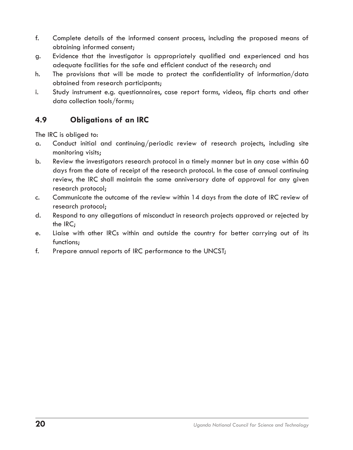- f. Complete details of the informed consent process, including the proposed means of obtaining informed consent;
- g. Evidence that the investigator is appropriately qualified and experienced and has adequate facilities for the safe and efficient conduct of the research; and
- h. The provisions that will be made to protect the confidentiality of information/data obtained from research participants;
- i. Study instrument e.g. questionnaires, case report forms, videos, flip charts and other data collection tools/forms;

### **4.9 Obligations of an IRC**

The IRC is obliged to:

- a. Conduct initial and continuing/periodic review of research projects, including site monitoring visits;
- b. Review the investigators research protocol in a timely manner but in any case within 60 days from the date of receipt of the research protocol. In the case of annual continuing review, the IRC shall maintain the same anniversary date of approval for any given research protocol;
- c. Communicate the outcome of the review within 14 days from the date of IRC review of research protocol;
- d. Respond to any allegations of misconduct in research projects approved or rejected by the IRC;
- e. Liaise with other IRCs within and outside the country for better carrying out of its functions;
- f. Prepare annual reports of IRC performance to the UNCST;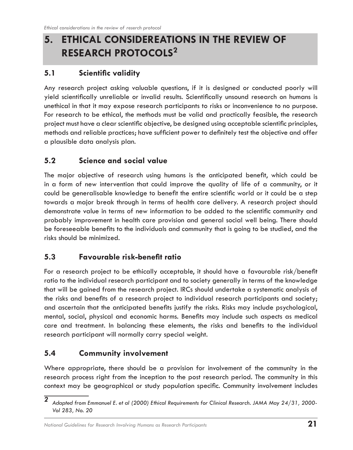## **5. ETHICAL CONSIDEREATIONS IN THE REVIEW OF RESEARCH PROTOCOLS<sup>2</sup>**

### **5.1 Scientific validity**

Any research project asking valuable questions, if it is designed or conducted poorly will yield scientifically unreliable or invalid results. Scientifically unsound research on humans is unethical in that it may expose research participants to risks or inconvenience to no purpose. For research to be ethical, the methods must be valid and practically feasible, the research project must have a clear scientific objective, be designed using acceptable scientific principles, methods and reliable practices; have sufficient power to definitely test the objective and offer a plausible data analysis plan.

### **5.2 Science and social value**

The major objective of research using humans is the anticipated benefit, which could be in a form of new intervention that could improve the quality of life of a community, or it could be generalisable knowledge to benefit the entire scientific world or it could be a step towards a major break through in terms of health care delivery. A research project should demonstrate value in terms of new information to be added to the scientific community and probably improvement in health care provision and general social well being. There should be foreseeable benefits to the individuals and community that is going to be studied, and the risks should be minimized.

### **5.3 Favourable risk-benefit ratio**

For a research project to be ethically acceptable, it should have a favourable risk/benefit ratio to the individual research participant and to society generally in terms of the knowledge that will be gained from the research project. IRCs should undertake a systematic analysis of the risks and benefits of a research project to individual research participants and society; and ascertain that the anticipated benefits justify the risks. Risks may include psychological, mental, social, physical and economic harms. Benefits may include such aspects as medical care and treatment. In balancing these elements, the risks and benefits to the individual research participant will normally carry special weight.

### **5.4 Community involvement**

Where appropriate, there should be a provision for involvement of the community in the research process right from the inception to the post research period. The community in this context may be geographical or study population specific. Community involvement includes

*Adapted from Emmanuel E. et al (2000) Ethical Requirements for Clinical Research. JAMA May 24/31, 2000- Vol 283, No. 20*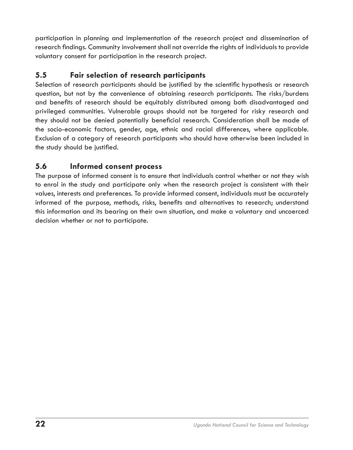participation in planning and implementation of the research project and dissemination of research findings. Community involvement shall not override the rights of individuals to provide voluntary consent for participation in the research project.

#### **5.5 Fair selection of research participants**

Selection of research participants should be justified by the scientific hypothesis or research question, but not by the convenience of obtaining research participants. The risks/burdens and benefits of research should be equitably distributed among both disadvantaged and privileged communities. Vulnerable groups should not be targeted for risky research and they should not be denied potentially beneficial research. Consideration shall be made of the socio-economic factors, gender, age, ethnic and racial differences, where applicable. Exclusion of a category of research participants who should have otherwise been included in the study should be justified.

#### **5.6 Informed consent process**

The purpose of informed consent is to ensure that individuals control whether or not they wish to enrol in the study and participate only when the research project is consistent with their values, interests and preferences. To provide informed consent, individuals must be accurately informed of the purpose, methods, risks, benefits and alternatives to research; understand this information and its bearing on their own situation, and make a voluntary and uncoerced decision whether or not to participate.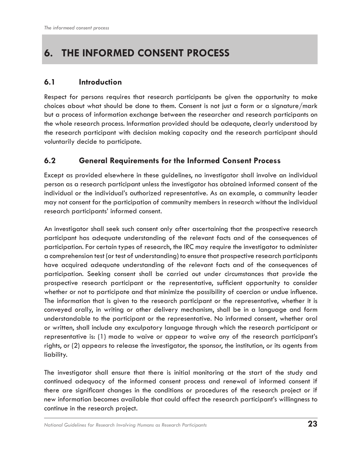## **6. THE INFORMED CONSENT PROCESS**

#### **6.1 Introduction**

Respect for persons requires that research participants be given the opportunity to make choices about what should be done to them. Consent is not just a form or a signature/mark but a process of information exchange between the researcher and research participants on the whole research process. Information provided should be adequate, clearly understood by the research participant with decision making capacity and the research participant should voluntarily decide to participate.

#### **6.2 General Requirements for the Informed Consent Process**

Except as provided elsewhere in these guidelines, no investigator shall involve an individual person as a research participant unless the investigator has obtained informed consent of the individual or the individual's authorized representative. As an example, a community leader may not consent for the participation of community members in research without the individual research participants' informed consent.

An investigator shall seek such consent only after ascertaining that the prospective research participant has adequate understanding of the relevant facts and of the consequences of participation. For certain types of research, the IRC may require the investigator to administer a comprehension test (or test of understanding) to ensure that prospective research participants have acquired adequate understanding of the relevant facts and of the consequences of participation. Seeking consent shall be carried out under circumstances that provide the prospective research participant or the representative, sufficient opportunity to consider whether or not to participate and that minimize the possibility of coercion or undue influence. The information that is given to the research participant or the representative, whether it is conveyed orally, in writing or other delivery mechanism, shall be in a language and form understandable to the participant or the representative. No informed consent, whether oral or written, shall include any exculpatory language through which the research participant or representative is: (1) made to waive or appear to waive any of the research participant's rights, or (2) appears to release the investigator, the sponsor, the institution, or its agents from liability.

The investigator shall ensure that there is initial monitoring at the start of the study and continued adequacy of the informed consent process and renewal of informed consent if there are significant changes in the conditions or procedures of the research project or if new information becomes available that could affect the research participant's willingness to continue in the research project.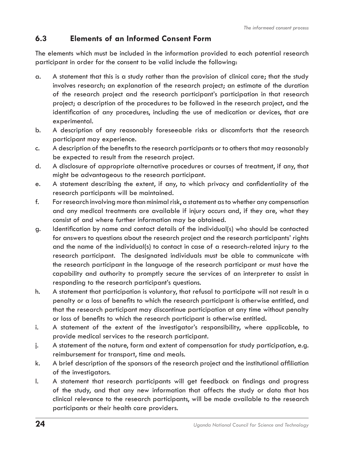#### **6.3 Elements of an Informed Consent Form**

The elements which must be included in the information provided to each potential research participant in order for the consent to be valid include the following:

- a. A statement that this is a study rather than the provision of clinical care; that the study involves research; an explanation of the research project; an estimate of the duration of the research project and the research participant's participation in that research project; a description of the procedures to be followed in the research project, and the identification of any procedures, including the use of medication or devices, that are experimental.
- b. A description of any reasonably foreseeable risks or discomforts that the research participant may experience.
- c. A description of the benefits to the research participants or to others that may reasonably be expected to result from the research project.
- d. A disclosure of appropriate alternative procedures or courses of treatment, if any, that might be advantageous to the research participant.
- e. A statement describing the extent, if any, to which privacy and confidentiality of the research participants will be maintained.
- f. For research involving more than minimal risk, a statement as to whether any compensation and any medical treatments are available if injury occurs and, if they are, what they consist of and where further information may be obtained.
- g. Identification by name and contact details of the individual(s) who should be contacted for answers to questions about the research project and the research participants' rights and the name of the individual(s) to contact in case of a research-related injury to the research participant. The designated individuals must be able to communicate with the research participant in the language of the research participant or must have the capability and authority to promptly secure the services of an interpreter to assist in responding to the research participant's questions.
- h. A statement that participation is voluntary, that refusal to participate will not result in a penalty or a loss of benefits to which the research participant is otherwise entitled, and that the research participant may discontinue participation at any time without penalty or loss of benefits to which the research participant is otherwise entitled.
- i. A statement of the extent of the investigator's responsibility, where applicable, to provide medical services to the research participant.
- j. A statement of the nature, form and extent of compensation for study participation, e.g. reimbursement for transport, time and meals.
- k. A brief description of the sponsors of the research project and the institutional affiliation of the investigators.
- l. A statement that research participants will get feedback on findings and progress of the study, and that any new information that affects the study or data that has clinical relevance to the research participants, will be made available to the research participants or their health care providers.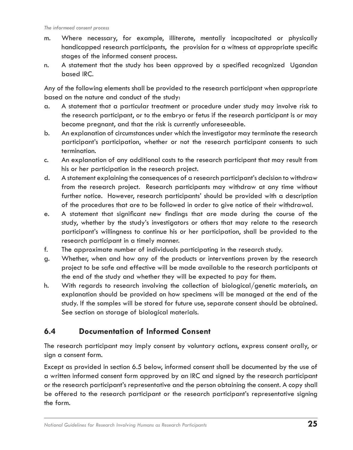- m. Where necessary, for example, illiterate, mentally incapacitated or physically handicapped research participants, the provision for a witness at appropriate specific stages of the informed consent process.
- n. A statement that the study has been approved by a specified recognized Ugandan based IRC.

Any of the following elements shall be provided to the research participant when appropriate based on the nature and conduct of the study:

- a. A statement that a particular treatment or procedure under study may involve risk to the research participant, or to the embryo or fetus if the research participant is or may become pregnant, and that the risk is currently unforeseeable.
- b. An explanation of circumstances under which the investigator may terminate the research participant's participation, whether or not the research participant consents to such termination.
- c. An explanation of any additional costs to the research participant that may result from his or her participation in the research project.
- d. A statement explaining the consequences of a research participant's decision to withdraw from the research project. Research participants may withdraw at any time without further notice. However, research participants' should be provided with a description of the procedures that are to be followed in order to give notice of their withdrawal.
- e. A statement that significant new findings that are made during the course of the study, whether by the study's investigators or others that may relate to the research participant's willingness to continue his or her participation, shall be provided to the research participant in a timely manner.
- f. The approximate number of individuals participating in the research study.
- g. Whether, when and how any of the products or interventions proven by the research project to be safe and effective will be made available to the research participants at the end of the study and whether they will be expected to pay for them.
- h. With regards to research involving the collection of biological/genetic materials, an explanation should be provided on how specimens will be managed at the end of the study. If the samples will be stored for future use, separate consent should be obtained. See section on storage of biological materials.

#### **6.4 Documentation of Informed Consent**

The research participant may imply consent by voluntary actions, express consent orally, or sign a consent form.

Except as provided in section 6.5 below, informed consent shall be documented by the use of a written informed consent form approved by an IRC and signed by the research participant or the research participant's representative and the person obtaining the consent. A copy shall be offered to the research participant or the research participant's representative signing the form.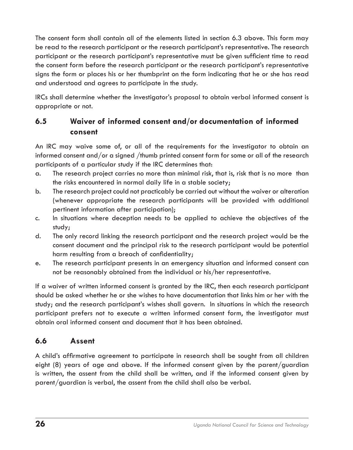The consent form shall contain all of the elements listed in section 6.3 above. This form may be read to the research participant or the research participant's representative. The research participant or the research participant's representative must be given sufficient time to read the consent form before the research participant or the research participant's representative signs the form or places his or her thumbprint on the form indicating that he or she has read and understood and agrees to participate in the study.

IRCs shall determine whether the investigator's proposal to obtain verbal informed consent is appropriate or not.

### **6.5 Waiver of informed consent and/or documentation of informed consent**

An IRC may waive some of, or all of the requirements for the investigator to obtain an informed consent and/or a signed /thumb printed consent form for some or all of the research participants of a particular study if the IRC determines that:

- a. The research project carries no more than minimal risk, that is, risk that is no more than the risks encountered in normal daily life in a stable society;
- b. The research project could not practicably be carried out without the waiver or alteration (whenever appropriate the research participants will be provided with additional pertinent information after participation);
- c. In situations where deception needs to be applied to achieve the objectives of the study;
- d. The only record linking the research participant and the research project would be the consent document and the principal risk to the research participant would be potential harm resulting from a breach of confidentiality;
- e. The research participant presents in an emergency situation and informed consent can not be reasonably obtained from the individual or his/her representative.

If a waiver of written informed consent is granted by the IRC, then each research participant should be asked whether he or she wishes to have documentation that links him or her with the study; and the research participant's wishes shall govern. In situations in which the research participant prefers not to execute a written informed consent form, the investigator must obtain oral informed consent and document that it has been obtained.

### **6.6 Assent**

A child's affirmative agreement to participate in research shall be sought from all children eight (8) years of age and above. If the informed consent given by the parent/guardian is written, the assent from the child shall be written, and if the informed consent given by parent/guardian is verbal, the assent from the child shall also be verbal.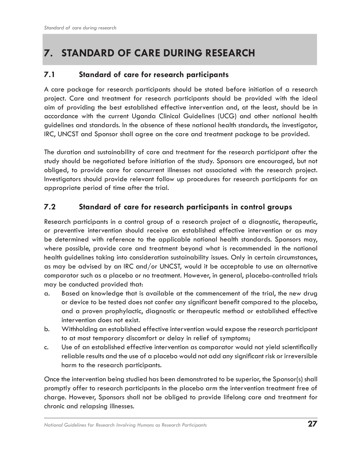## **7. STANDARD OF CARE DURING RESEARCH**

#### **7.1 Standard of care for research participants**

A care package for research participants should be stated before initiation of a research project. Care and treatment for research participants should be provided with the ideal aim of providing the best established effective intervention and, at the least, should be in accordance with the current Uganda Clinical Guidelines (UCG) and other national health guidelines and standards. In the absence of these national health standards, the investigator, IRC, UNCST and Sponsor shall agree on the care and treatment package to be provided.

The duration and sustainability of care and treatment for the research participant after the study should be negotiated before initiation of the study. Sponsors are encouraged, but not obliged, to provide care for concurrent illnesses not associated with the research project. Investigators should provide relevant follow up procedures for research participants for an appropriate period of time after the trial.

#### **7.2 Standard of care for research participants in control groups**

Research participants in a control group of a research project of a diagnostic, therapeutic, or preventive intervention should receive an established effective intervention or as may be determined with reference to the applicable national health standards. Sponsors may, where possible, provide care and treatment beyond what is recommended in the national health guidelines taking into consideration sustainability issues. Only in certain circumstances, as may be advised by an IRC and/or UNCST, would it be acceptable to use an alternative comparator such as a placebo or no treatment. However, in general, placebo-controlled trials may be conducted provided that:

- a. Based on knowledge that is available at the commencement of the trial, the new drug or device to be tested does not confer any significant benefit compared to the placebo, and a proven prophylactic, diagnostic or therapeutic method or established effective intervention does not exist.
- b. Withholding an established effective intervention would expose the research participant to at most temporary discomfort or delay in relief of symptoms;
- c. Use of an established effective intervention as comparator would not yield scientifically reliable results and the use of a placebo would not add any significant risk or irreversible harm to the research participants.

Once the intervention being studied has been demonstrated to be superior, the Sponsor(s) shall promptly offer to research participants in the placebo arm the intervention treatment free of charge. However, Sponsors shall not be obliged to provide lifelong care and treatment for chronic and relapsing illnesses.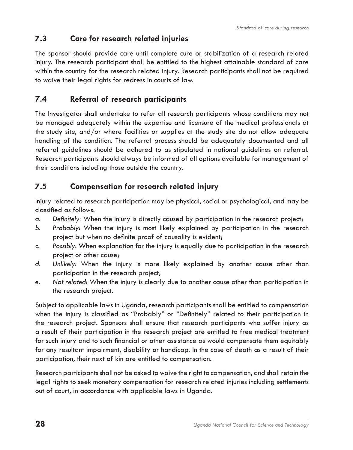### **7.3 Care for research related injuries**

The sponsor should provide care until complete cure or stabilization of a research related injury. The research participant shall be entitled to the highest attainable standard of care within the country for the research related injury. Research participants shall not be required to waive their legal rights for redress in courts of law.

### **7.4 Referral of research participants**

The Investigator shall undertake to refer all research participants whose conditions may not be managed adequately within the expertise and licensure of the medical professionals at the study site, and/or where facilities or supplies at the study site do not allow adequate handling of the condition. The referral process should be adequately documented and all referral guidelines should be adhered to as stipulated in national guidelines on referral. Research participants should always be informed of all options available for management of their conditions including those outside the country.

### **7.5 Compensation for research related injury**

Injury related to research participation may be physical, social or psychological, and may be classified as follows:

- *a. Definitely:* When the injury is directly caused by participation in the research project;
- *b. Probably*: When the injury is most likely explained by participation in the research project but when no definite proof of causality is evident;
- *c. Possibly*: When explanation for the injury is equally due to participation in the research project or other cause;
- *d. Unlikely*: When the injury is more likely explained by another cause other than participation in the research project;
- *e. Not related*: When the injury is clearly due to another cause other than participation in the research project.

Subject to applicable laws in Uganda, research participants shall be entitled to compensation when the injury is classified as "Probably" or "Definitely" related to their participation in the research project. Sponsors shall ensure that research participants who suffer injury as a result of their participation in the research project are entitled to free medical treatment for such injury and to such financial or other assistance as would compensate them equitably for any resultant impairment, disability or handicap. In the case of death as a result of their participation, their next of kin are entitled to compensation.

Research participants shall not be asked to waive the right to compensation, and shall retain the legal rights to seek monetary compensation for research related injuries including settlements out of court, in accordance with applicable laws in Uganda.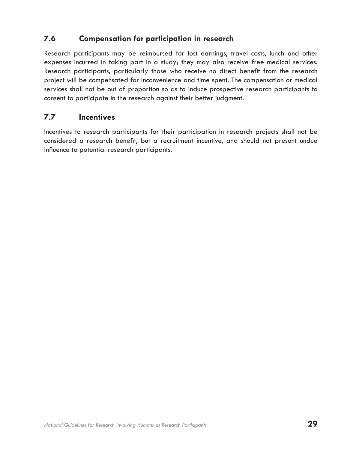### **7.6 Compensation for participation in research**

Research participants may be reimbursed for lost earnings, travel costs, lunch and other expenses incurred in taking part in a study; they may also receive free medical services. Research participants**,** particularly those who receive no direct benefit from the research project will be compensated for inconvenience and time spent. The compensation or medical services shall not be out of proportion so as to induce prospective research participants to consent to participate in the research against their better judgment.

#### **7.7 Incentives**

Incentives to research participants for their participation in research projects shall not be considered a research benefit, but a recruitment incentive, and should not present undue influence to potential research participants.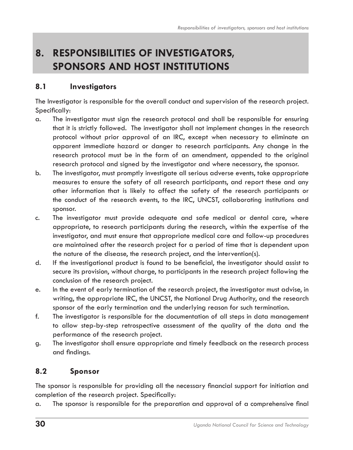## **8. RESPONSIBILITIES OF INVESTIGATORS, SPONSORS AND HOST INSTITUTIONS**

#### **8.1 Investigators**

The Investigator is responsible for the overall conduct and supervision of the research project. Specifically:

- a. The investigator must sign the research protocol and shall be responsible for ensuring that it is strictly followed. The investigator shall not implement changes in the research protocol without prior approval of an IRC, except when necessary to eliminate an apparent immediate hazard or danger to research participants. Any change in the research protocol must be in the form of an amendment, appended to the original research protocol and signed by the investigator and where necessary, the sponsor.
- b. The investigator, must promptly investigate all serious adverse events, take appropriate measures to ensure the safety of all research participants, and report these and any other information that is likely to affect the safety of the research participants or the conduct of the research events, to the IRC, UNCST, collaborating institutions and sponsor.
- c. The investigator must provide adequate and safe medical or dental care, where appropriate, to research participants during the research, within the expertise of the investigator, and must ensure that appropriate medical care and follow-up procedures are maintained after the research project for a period of time that is dependent upon the nature of the disease, the research project, and the intervention(s).
- d. If the investigational product is found to be beneficial, the investigator should assist to secure its provision, without charge, to participants in the research project following the conclusion of the research project.
- e. In the event of early termination of the research project, the investigator must advise, in writing, the appropriate IRC, the UNCST, the National Drug Authority, and the research sponsor of the early termination and the underlying reason for such termination.
- f. The investigator is responsible for the documentation of all steps in data management to allow step-by-step retrospective assessment of the quality of the data and the performance of the research project.
- g. The investigator shall ensure appropriate and timely feedback on the research process and findings.

#### **8.2 Sponsor**

The sponsor is responsible for providing all the necessary financial support for initiation and completion of the research project. Specifically:

a. The sponsor is responsible for the preparation and approval of a comprehensive final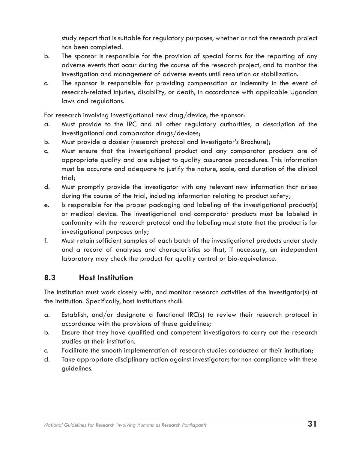study report that is suitable for regulatory purposes, whether or not the research project has been completed.

- b. The sponsor is responsible for the provision of special forms for the reporting of any adverse events that occur during the course of the research project, and to monitor the investigation and management of adverse events until resolution or stabilization.
- c. The sponsor is responsible for providing compensation or indemnity in the event of research-related injuries, disability, or death, in accordance with applicable Ugandan laws and regulations.

For research involving investigational new drug/device, the sponsor:

- a. Must provide to the IRC and all other regulatory authorities, a description of the investigational and comparator drugs/devices;
- b. Must provide a dossier (research protocol and Investigator's Brochure);
- c. Must ensure that the investigational product and any comparator products are of appropriate quality and are subject to quality assurance procedures. This information must be accurate and adequate to justify the nature, scale, and duration of the clinical trial;
- d. Must promptly provide the investigator with any relevant new information that arises during the course of the trial, including information relating to product safety;
- e. Is responsible for the proper packaging and labeling of the investigational product(s) or medical device. The investigational and comparator products must be labeled in conformity with the research protocol and the labeling must state that the product is for investigational purposes only;
- f. Must retain sufficient samples of each batch of the investigational products under study and a record of analyses and characteristics so that, if necessary, an independent laboratory may check the product for quality control or bio-equivalence.

#### **8.3 Host Institution**

The institution must work closely with, and monitor research activities of the investigator(s) at the institution. Specifically, host institutions shall:

- a. Establish, and/or designate a functional IRC(s) to review their research protocol in accordance with the provisions of these guidelines;
- b. Ensure that they have qualified and competent investigators to carry out the research studies at their institution.
- c. Facilitate the smooth implementation of research studies conducted at their institution;
- d. Take appropriate disciplinary action against investigators for non-compliance with these guidelines.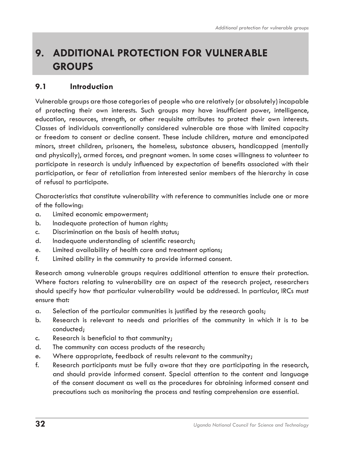## **9. ADDITIONAL PROTECTION FOR VULNERABLE GROUPS**

#### **9.1 Introduction**

Vulnerable groups are those categories of people who are relatively (or absolutely) incapable of protecting their own interests. Such groups may have insufficient power, intelligence, education, resources, strength, or other requisite attributes to protect their own interests. Classes of individuals conventionally considered vulnerable are those with limited capacity or freedom to consent or decline consent. These include children, mature and emancipated minors, street children, prisoners, the homeless, substance abusers, handicapped (mentally and physically), armed forces, and pregnant women. In some cases willingness to volunteer to participate in research is unduly influenced by expectation of benefits associated with their participation, or fear of retaliation from interested senior members of the hierarchy in case of refusal to participate.

Characteristics that constitute vulnerability with reference to communities include one or more of the following:

- a. Limited economic empowerment;
- b. Inadequate protection of human rights;
- c. Discrimination on the basis of health status;
- d. Inadequate understanding of scientific research;
- e. Limited availability of health care and treatment options;
- f. Limited ability in the community to provide informed consent.

Research among vulnerable groups requires additional attention to ensure their protection. Where factors relating to vulnerability are an aspect of the research project, researchers should specify how that particular vulnerability would be addressed. In particular, IRCs must ensure that*:*

- a. Selection of the particular communities is justified by the research goals;
- b. Research is relevant to needs and priorities of the community in which it is to be conducted;
- c. Research is beneficial to that community;
- d. The community can access products of the research;
- e. Where appropriate, feedback of results relevant to the community;
- f. Research participants must be fully aware that they are participating in the research, and should provide informed consent. Special attention to the content and language of the consent document as well as the procedures for obtaining informed consent and precautions such as monitoring the process and testing comprehension are essential.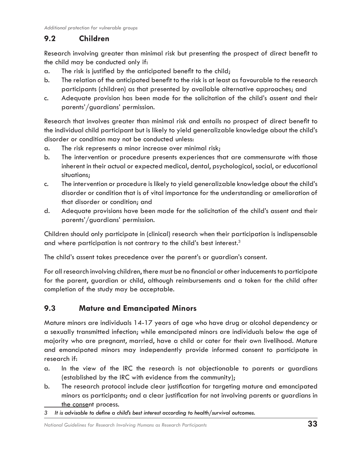### **9.2 Children**

Research involving greater than minimal risk but presenting the prospect of direct benefit to the child may be conducted only if:

- a. The risk is justified by the anticipated benefit to the child;
- b. The relation of the anticipated benefit to the risk is at least as favourable to the research participants (children) as that presented by available alternative approaches; and
- c. Adequate provision has been made for the solicitation of the child's assent and their parents'/guardians' permission.

Research that involves greater than minimal risk and entails no prospect of direct benefit to the individual child participant but is likely to yield generalizable knowledge about the child's disorder or condition may not be conducted unless:

- a. The risk represents a minor increase over minimal risk;
- b. The intervention or procedure presents experiences that are commensurate with those inherent in their actual or expected medical, dental, psychological, social, or educational situations;
- c. The intervention or procedure is likely to yield generalizable knowledge about the child's disorder or condition that is of vital importance for the understanding or amelioration of that disorder or condition; and
- d. Adequate provisions have been made for the solicitation of the child's assent and their parents'/guardians' permission.

Children should only participate in (clinical) research when their participation is indispensable and where participation is not contrary to the child's best interest.<sup>3</sup>

The child's assent takes precedence over the parent's or guardian's consent.

For all research involving children, there must be no financial or other inducements to participate for the parent, guardian or child, although reimbursements and a token for the child after completion of the study may be acceptable.

### **9.3 Mature and Emancipated Minors**

Mature minors are individuals 14-17 years of age who have drug or alcohol dependency or a sexually transmitted infection; while emancipated minors are individuals below the age of majority who are pregnant, married, have a child or cater for their own livelihood. Mature and emancipated minors may independently provide informed consent to participate in research if:

- a. In the view of the IRC the research is not objectionable to parents or guardians (established by the IRC with evidence from the community);
- b. The research protocol include clear justification for targeting mature and emancipated minors as participants; and a clear justification for not involving parents or guardians in the consent process.
- 3 It is advisable to define a child's best interest according to health/survival outcomes.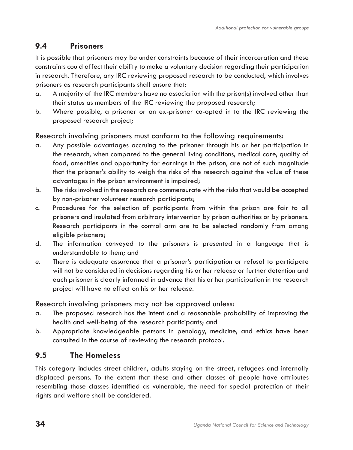### **9.4 Prisoners**

It is possible that prisoners may be under constraints because of their incarceration and these constraints could affect their ability to make a voluntary decision regarding their participation in research. Therefore, any IRC reviewing proposed research to be conducted, which involves prisoners as research participants shall ensure that:

- a. A majority of the IRC members have no association with the prison(s) involved other than their status as members of the IRC reviewing the proposed research;
- b. Where possible, a prisoner or an ex-prisoner co-opted in to the IRC reviewing the proposed research project;

Research involving prisoners must conform to the following requirements:

- a. Any possible advantages accruing to the prisoner through his or her participation in the research, when compared to the general living conditions, medical care, quality of food, amenities and opportunity for earnings in the prison, are not of such magnitude that the prisoner's ability to weigh the risks of the research against the value of these advantages in the prison environment is impaired;
- b. The risks involved in the research are commensurate with the risks that would be accepted by non-prisoner volunteer research participants;
- c. Procedures for the selection of participants from within the prison are fair to all prisoners and insulated from arbitrary intervention by prison authorities or by prisoners. Research participants in the control arm are to be selected randomly from among eligible prisoners;
- d. The information conveyed to the prisoners is presented in a language that is understandable to them; and
- e. There is adequate assurance that a prisoner's participation or refusal to participate will not be considered in decisions regarding his or her release or further detention and each prisoner is clearly informed in advance that his or her participation in the research project will have no effect on his or her release.

Research involving prisoners may not be approved unless:

- a. The proposed research has the intent and a reasonable probability of improving the health and well-being of the research participants; and
- b. Appropriate knowledgeable persons in penology, medicine, and ethics have been consulted in the course of reviewing the research protocol.

### **9.5 The Homeless**

This category includes street children, adults staying on the street, refugees and internally displaced persons. To the extent that these and other classes of people have attributes resembling those classes identified as vulnerable, the need for special protection of their rights and welfare shall be considered.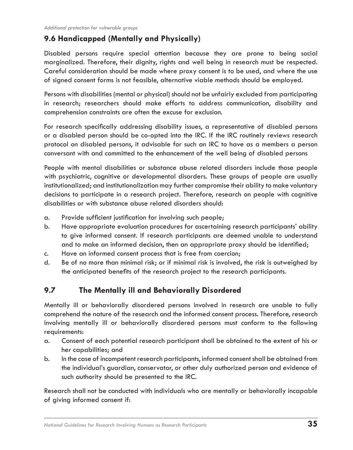### **9.6 Handicapped (Mentally and Physically)**

Disabled persons require special attention because they are prone to being social marginalized. Therefore, their dignity, rights and well being in research must be respected. Careful consideration should be made where proxy consent is to be used, and where the use of signed consent forms is not feasible, alternative viable methods should be employed.

Persons with disabilities (mental or physical) should not be unfairly excluded from participating in research; researchers should make efforts to address communication, disability and comprehension constraints are often the excuse for exclusion.

For research specifically addressing disability issues, a representative of disabled persons or a disabled person should be co-opted into the IRC. If the IRC routinely reviews research protocol on disabled persons, it advisable for such an IRC to have as a members a person conversant with and committed to the enhancement of the well being of disabled persons

People with mental disabilities or substance abuse related disorders include those people with psychiatric, cognitive or developmental disorders. These groups of people are usually institutionalized; and institutionalization may further compromise their ability to make voluntary decisions to participate in a research project. Therefore, research on people with cognitive disabilities or with substance abuse related disorders should:

- a. Provide sufficient justification for involving such people;
- b. Have appropriate evaluation procedures for ascertaining research participants' ability to give informed consent. If research participants are deemed unable to understand and to make an informed decision, then an appropriate proxy should be identified;
- c. Have an informed consent process that is free from coercion;
- d. Be of no more than minimal risk; or if minimal risk is involved, the risk is outweighed by the anticipated benefits of the research project to the research participants.

#### **9.7 The Mentally ill and Behaviorally Disordered**

Mentally ill or behaviorally disordered persons involved in research are unable to fully comprehend the nature of the research and the informed consent process. Therefore, research involving mentally ill or behaviorally disordered persons must conform to the following requirements:

- a. Consent of each potential research participant shall be obtained to the extent of his or her capabilities; and
- b. In the case of incompetent research participants, informed consent shall be obtained from the individual's guardian, conservator, or other duly authorized person and evidence of such authority should be presented to the IRC.

Research shall not be conducted with individuals who are mentally or behaviorally incapable of giving informed consent if: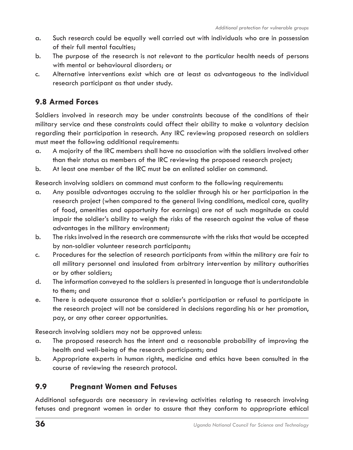- a. Such research could be equally well carried out with individuals who are in possession of their full mental faculties;
- b. The purpose of the research is not relevant to the particular health needs of persons with mental or behavioural disorders; or
- c. Alternative interventions exist which are at least as advantageous to the individual research participant as that under study.

#### **9.8 Armed Forces**

Soldiers involved in research may be under constraints because of the conditions of their military service and these constraints could affect their ability to make a voluntary decision regarding their participation in research. Any IRC reviewing proposed research on soldiers must meet the following additional requirements:

- a. A majority of the IRC members shall have no association with the soldiers involved other than their status as members of the IRC reviewing the proposed research project;
- b. At least one member of the IRC must be an enlisted soldier on command.

Research involving soldiers on command must conform to the following requirements:

- a. Any possible advantages accruing to the soldier through his or her participation in the research project (when compared to the general living conditions, medical care, quality of food, amenities and opportunity for earnings) are not of such magnitude as could impair the soldier's ability to weigh the risks of the research against the value of these advantages in the military environment;
- b. The risks involved in the research are commensurate with the risks that would be accepted by non-soldier volunteer research participants;
- c. Procedures for the selection of research participants from within the military are fair to all military personnel and insulated from arbitrary intervention by military authorities or by other soldiers;
- d. The information conveyed to the soldiers is presented in language that is understandable to them; and
- e. There is adequate assurance that a soldier's participation or refusal to participate in the research project will not be considered in decisions regarding his or her promotion, pay, or any other career opportunities.

Research involving soldiers may not be approved unless:

- a. The proposed research has the intent and a reasonable probability of improving the health and well-being of the research participants; and
- b. Appropriate experts in human rights, medicine and ethics have been consulted in the course of reviewing the research protocol.

#### **9.9 Pregnant Women and Fetuses**

Additional safeguards are necessary in reviewing activities relating to research involving fetuses and pregnant women in order to assure that they conform to appropriate ethical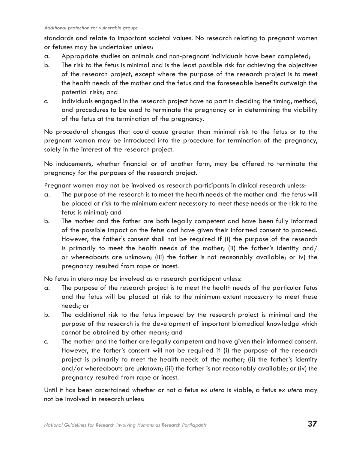standards and relate to important societal values. No research relating to pregnant women or fetuses may be undertaken unless:

- a. Appropriate studies on animals and non-pregnant individuals have been completed;
- b. The risk to the fetus is minimal and is the least possible risk for achieving the objectives of the research project, except where the purpose of the research project is to meet the health needs of the mother and the fetus and the foreseeable benefits outweigh the potential risks; and
- c. Individuals engaged in the research project have no part in deciding the timing, method, and procedures to be used to terminate the pregnancy or in determining the viability of the fetus at the termination of the pregnancy.

No procedural changes that could cause greater than minimal risk to the fetus or to the pregnant woman may be introduced into the procedure for termination of the pregnancy, solely in the interest of the research project.

No inducements, whether financial or of another form, may be offered to terminate the pregnancy for the purposes of the research project.

Pregnant women may not be involved as research participants in clinical research unless:

- a. The purpose of the research is to meet the health needs of the mother and the fetus will be placed at risk to the minimum extent necessary to meet these needs or the risk to the fetus is minimal; and
- b. The mother and the father are both legally competent and have been fully informed of the possible impact on the fetus and have given their informed consent to proceed. However, the father's consent shall not be required if (i) the purpose of the research is primarily to meet the health needs of the mother; (ii) the father's identity and/ or whereabouts are unknown; (iii) the father is not reasonably available; or iv) the pregnancy resulted from rape or incest.

No fetus in utero may be involved as a research participant unless:

- a. The purpose of the research project is to meet the health needs of the particular fetus and the fetus will be placed at risk to the minimum extent necessary to meet these needs; or
- b. The additional risk to the fetus imposed by the research project is minimal and the purpose of the research is the development of important biomedical knowledge which cannot be obtained by other means; and
- c. The mother and the father are legally competent and have given their informed consent. However, the father's consent will not be required if (i) the purpose of the research project is primarily to meet the health needs of the mother; (ii) the father's identity and/or whereabouts are unknown; (iii) the father is not reasonably available; or (iv) the pregnancy resulted from rape or incest.

Until it has been ascertained whether or not a fetus *ex utero* is viable, a fetus *ex utero* may not be involved in research unless: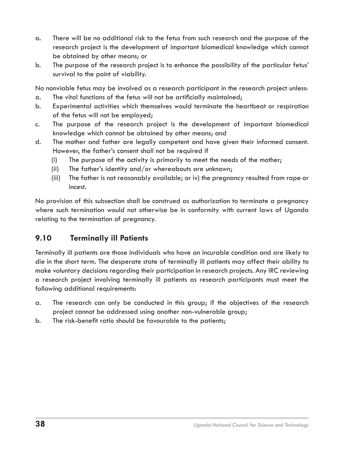- a. There will be no additional risk to the fetus from such research and the purpose of the research project is the development of important biomedical knowledge which cannot be obtained by other means; or
- b. The purpose of the research project is to enhance the possibility of the particular fetus' survival to the point of viability.

No nonviable fetus may be involved as a research participant in the research project unless:

- a. The vital functions of the fetus will not be artificially maintained;
- b. Experimental activities which themselves would terminate the heartbeat or respiration of the fetus will not be employed;
- c. The purpose of the research project is the development of important biomedical knowledge which cannot be obtained by other means; and
- d. The mother and father are legally competent and have given their informed consent. However, the father's consent shall not be required if
	- (i) The purpose of the activity is primarily to meet the needs of the mother;
	- (ii) The father's identity and/or whereabouts are unknown;
	- (iii) The father is not reasonably available; or iv) the pregnancy resulted from rape or incest.

No provision of this subsection shall be construed as authorization to terminate a pregnancy where such termination would not otherwise be in conformity with current laws of Uganda relating to the termination of pregnancy.

### **9.10 Terminally ill Patients**

Terminally ill patients are those individuals who have an incurable condition and are likely to die in the short term. The desperate state of terminally ill patients may affect their ability to make voluntary decisions regarding their participation in research projects. Any IRC reviewing a research project involving terminally ill patients as research participants must meet the following additional requirements:

- a. The research can only be conducted in this group; if the objectives of the research project cannot be addressed using another non-vulnerable group;
- b. The risk-benefit ratio should be favourable to the patients;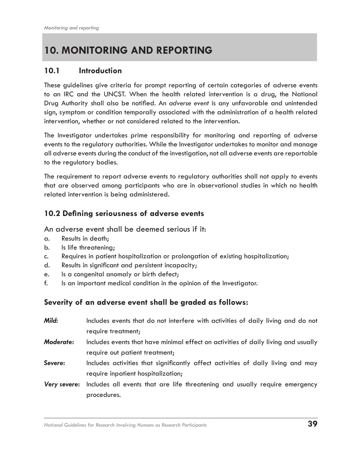## **10. MONITORING AND REPORTING**

#### **10.1 Introduction**

These guidelines give criteria for prompt reporting of certain categories of adverse events to an IRC and the UNCST. When the health related intervention is a drug, the National Drug Authority shall also be notified. An *adverse event* is any unfavorable and unintended sign, symptom or condition temporally associated with the administration of a health related intervention, whether or not considered related to the intervention.

The Investigator undertakes prime responsibility for monitoring and reporting of adverse events to the regulatory authorities. While the Investigator undertakes to monitor and manage all adverse events during the conduct of the investigation, not all adverse events are reportable to the regulatory bodies.

The requirement to report adverse events to regulatory authorities shall not apply to events that are observed among participants who are in observational studies in which no health related intervention is being administered.

#### **10.2 Defining seriousness of adverse events**

An adverse event shall be deemed serious if it:

- a. Results in death;
- b. Is life threatening;
- c. Requires in patient hospitalization or prolongation of existing hospitalization;
- d. Results in significant and persistent incapacity;
- e. Is a congenital anomaly or birth defect;
- f. Is an important medical condition in the opinion of the Investigator.

#### **Severity of an adverse event shall be graded as follows:**

| Mild:            | Includes events that do not interfere with activities of daily living and do not   |
|------------------|------------------------------------------------------------------------------------|
|                  | require treatment;                                                                 |
| <b>Moderate:</b> | Includes events that have minimal effect on activities of daily living and usually |
|                  | require out patient treatment;                                                     |
| Severe:          | Includes activities that significantly affect activities of daily living and may   |
|                  | require inpatient hospitalization;                                                 |
| Very severe:     | Includes all events that are life threatening and usually require emergency        |
|                  | procedures.                                                                        |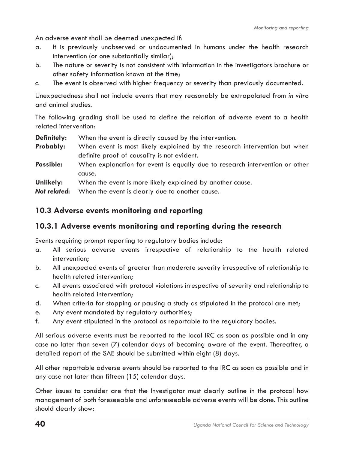An adverse event shall be deemed unexpected if:

- a. It is previously unobserved or undocumented in humans under the health research intervention (or one substantially similar);
- b. The nature or severity is not consistent with information in the investigators brochure or other safety information known at the time;
- c. The event is observed with higher frequency or severity than previously documented.

Unexpectedness shall not include events that may reasonably be extrapolated from *in vitro*  and animal studies.

The following grading shall be used to define the relation of adverse event to a health related intervention:

- **Definitely:** When the event is directly caused by the intervention.
- **Probably:** When event is most likely explained by the research intervention but when definite proof of causality is not evident.
- **Possible:** When explanation for event is equally due to research intervention or other cause.
- **Unlikely:** When the event is more likely explained by another cause.
- *Not related***:** When the event is clearly due to another cause.

#### **10.3 Adverse events monitoring and reporting**

#### **10.3.1 Adverse events monitoring and reporting during the research**

Events requiring prompt reporting to regulatory bodies include:

- a. All serious adverse events irrespective of relationship to the health related intervention;
- b. All unexpected events of greater than moderate severity irrespective of relationship to health related intervention;
- c. All events associated with protocol violations irrespective of severity and relationship to health related intervention;
- d. When criteria for stopping or pausing a study as stipulated in the protocol are met;
- e. Any event mandated by regulatory authorities;
- f. Any event stipulated in the protocol as reportable to the regulatory bodies.

All serious adverse events must be reported to the local IRC as soon as possible and in any case no later than seven (7) calendar days of becoming aware of the event. Thereafter, a detailed report of the SAE should be submitted within eight (8) days.

All other reportable adverse events should be reported to the IRC as soon as possible and in any case not later than fifteen (15) calendar days.

Other issues to consider are that the Investigator must clearly outline in the protocol how management of both foreseeable and unforeseeable adverse events will be done. This outline should clearly show: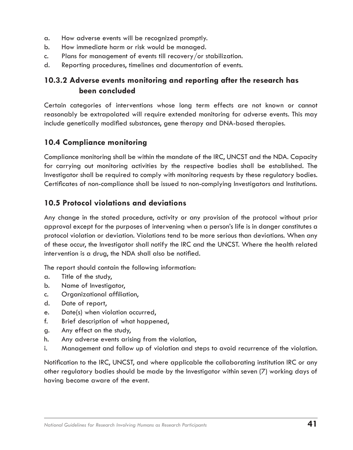- a. How adverse events will be recognized promptly.
- b. How immediate harm or risk would be managed.
- c. Plans for management of events till recovery/or stabilization.
- d. Reporting procedures, timelines and documentation of events.

#### **10.3.2 Adverse events monitoring and reporting after the research has been concluded**

Certain categories of interventions whose long term effects are not known or cannot reasonably be extrapolated will require extended monitoring for adverse events. This may include genetically modified substances, gene therapy and DNA-based therapies.

#### **10.4 Compliance monitoring**

Compliance monitoring shall be within the mandate of the IRC, UNCST and the NDA. Capacity for carrying out monitoring activities by the respective bodies shall be established. The Investigator shall be required to comply with monitoring requests by these regulatory bodies. Certificates of non-compliance shall be issued to non-complying Investigators and Institutions.

#### **10.5 Protocol violations and deviations**

Any change in the stated procedure, activity or any provision of the protocol without prior approval except for the purposes of intervening when a person's life is in danger constitutes a protocol violation or deviation. Violations tend to be more serious than deviations. When any of these occur, the Investigator shall notify the IRC and the UNCST. Where the health related intervention is a drug, the NDA shall also be notified.

The report should contain the following information:

- a. Title of the study,
- b. Name of Investigator,
- c. Organizational affiliation,
- d. Date of report,
- e. Date(s) when violation occurred,
- f. Brief description of what happened,
- g. Any effect on the study,
- h. Any adverse events arising from the violation,
- i. Management and follow up of violation and steps to avoid recurrence of the violation.

Notification to the IRC, UNCST, and where applicable the collaborating institution IRC or any other regulatory bodies should be made by the Investigator within seven (7) working days of having become aware of the event.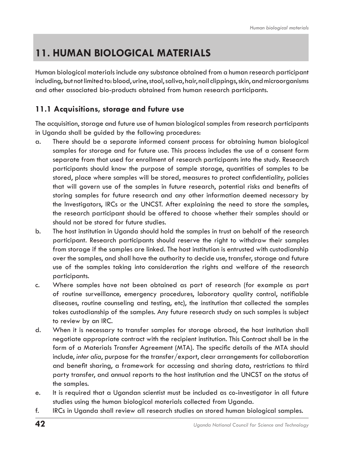## **11. HUMAN BIOLOGICAL MATERIALS**

Human biological materials include any substance obtained from a human research participant including, but not limited to: blood, urine, stool, saliva, hair, nail clippings, skin, and microorganisms and other associated bio-products obtained from human research participants.

### **11.1 Acquisitions, storage and future use**

The acquisition, storage and future use of human biological samples from research participants in Uganda shall be guided by the following procedures:

- a. There should be a separate informed consent process for obtaining human biological samples for storage and for future use. This process includes the use of a consent form separate from that used for enrollment of research participants into the study. Research participants should know the purpose of sample storage, quantities of samples to be stored, place where samples will be stored, measures to protect confidentiality, policies that will govern use of the samples in future research, potential risks and benefits of storing samples for future research and any other information deemed necessary by the Investigators, IRCs or the UNCST. After explaining the need to store the samples, the research participant should be offered to choose whether their samples should or should not be stored for future studies.
- b. The host institution in Uganda should hold the samples in trust on behalf of the research participant. Research participants should reserve the right to withdraw their samples from storage if the samples are linked. The host institution is entrusted with custodianship over the samples, and shall have the authority to decide use, transfer, storage and future use of the samples taking into consideration the rights and welfare of the research participants.
- c. Where samples have not been obtained as part of research (for example as part of routine surveillance, emergency procedures, laboratory quality control, notifiable diseases, routine counseling and testing, etc), the institution that collected the samples takes custodianship of the samples. Any future research study on such samples is subject to review by an IRC.
- d. When it is necessary to transfer samples for storage abroad, the host institution shall negotiate appropriate contract with the recipient institution. This Contract shall be in the form of a Materials Transfer Agreement (MTA). The specific details of the MTA should include, *inter alia*, purpose for the transfer/export, clear arrangements for collaboration and benefit sharing, a framework for accessing and sharing data, restrictions to third party transfer, and annual reports to the host institution and the UNCST on the status of the samples.
- e. It is required that a Ugandan scientist must be included as co-investigator in all future studies using the human biological materials collected from Uganda.
- f. IRCs in Uganda shall review all research studies on stored human biological samples.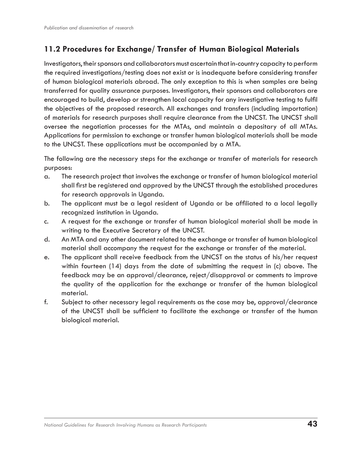### **11.2 Procedures for Exchange/ Transfer of Human Biological Materials**

Investigators, their sponsors and collaborators must ascertain that in-country capacity to perform the required investigations/testing does not exist or is inadequate before considering transfer of human biological materials abroad. The only exception to this is when samples are being transferred for quality assurance purposes. Investigators, their sponsors and collaborators are encouraged to build, develop or strengthen local capacity for any investigative testing to fulfil the objectives of the proposed research. All exchanges and transfers (including importation) of materials for research purposes shall require clearance from the UNCST. The UNCST shall oversee the negotiation processes for the MTAs, and maintain a depositary of all MTAs. Applications for permission to exchange or transfer human biological materials shall be made to the UNCST. These applications must be accompanied by a MTA.

The following are the necessary steps for the exchange or transfer of materials for research purposes:

- a. The research project that involves the exchange or transfer of human biological material shall first be registered and approved by the UNCST through the established procedures for research approvals in Uganda.
- b. The applicant must be a legal resident of Uganda or be affiliated to a local legally recognized institution in Uganda.
- c. A request for the exchange or transfer of human biological material shall be made in writing to the Executive Secretary of the UNCST.
- d. An MTA and any other document related to the exchange or transfer of human biological material shall accompany the request for the exchange or transfer of the material.
- e. The applicant shall receive feedback from the UNCST on the status of his/her request within fourteen (14) days from the date of submitting the request in (c) above. The feedback may be an approval/clearance, reject/disapproval or comments to improve the quality of the application for the exchange or transfer of the human biological material.
- f. Subject to other necessary legal requirements as the case may be, approval/clearance of the UNCST shall be sufficient to facilitate the exchange or transfer of the human biological material.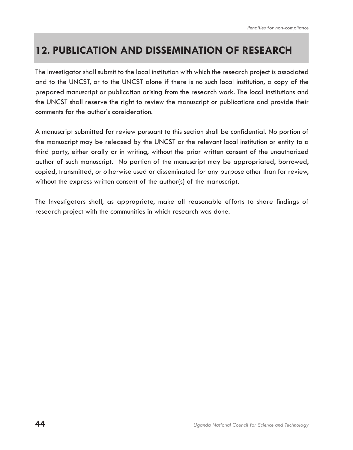## **12. PUBLICATION AND DISSEMINATION OF RESEARCH**

The Investigator shall submit to the local institution with which the research project is associated and to the UNCST, or to the UNCST alone if there is no such local institution, a copy of the prepared manuscript or publication arising from the research work. The local institutions and the UNCST shall reserve the right to review the manuscript or publications and provide their comments for the author's consideration.

A manuscript submitted for review pursuant to this section shall be confidential. No portion of the manuscript may be released by the UNCST or the relevant local institution or entity to a third party, either orally or in writing, without the prior written consent of the unauthorized author of such manuscript. No portion of the manuscript may be appropriated, borrowed, copied, transmitted, or otherwise used or disseminated for any purpose other than for review, without the express written consent of the author(s) of the manuscript.

The Investigators shall, as appropriate, make all reasonable efforts to share findings of research project with the communities in which research was done.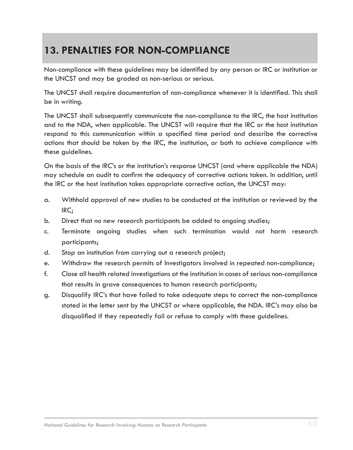## **13. PENALTIES FOR NON-COMPLIANCE**

Non-compliance with these guidelines may be identified by any person or IRC or institution or the UNCST and may be graded as non-serious or serious.

The UNCST shall require documentation of non-compliance whenever it is identified. This shall be in writing.

The UNCST shall subsequently communicate the non-compliance to the IRC, the host institution and to the NDA, when applicable. The UNCST will require that the IRC or the host institution respond to this communication within a specified time period and describe the corrective actions that should be taken by the IRC, the institution, or both to achieve compliance with these guidelines.

On the basis of the IRC's or the institution's response UNCST (and where applicable the NDA) may schedule an audit to confirm the adequacy of corrective actions taken. In addition, until the IRC or the host institution takes appropriate corrective action, the UNCST may:

- a. Withhold approval of new studies to be conducted at the institution or reviewed by the IRC;
- b. Direct that no new research participants be added to ongoing studies;
- c. Terminate ongoing studies when such termination would not harm research participants;
- d. Stop an institution from carrying out a research project;
- e. Withdraw the research permits of Investigators involved in repeated non-compliance;
- f. Close all health related investigations at the institution in cases of serious non-compliance that results in grave consequences to human research participants;
- g. Disqualify IRC's that have failed to take adequate steps to correct the non-compliance stated in the letter sent by the UNCST or where applicable, the NDA. IRC's may also be disqualified if they repeatedly fail or refuse to comply with these guidelines.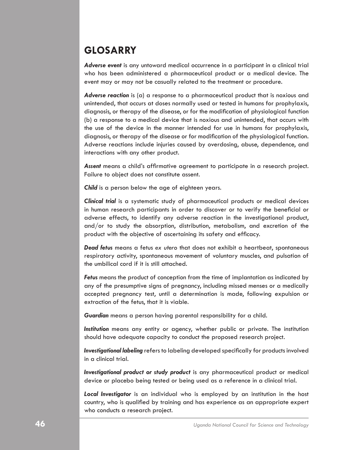## **GLOSARRY**

*Adverse event* is any untoward medical occurrence in a participant in a clinical trial who has been administered a pharmaceutical product or a medical device. The event may or may not be casually related to the treatment or procedure.

*Adverse reaction* is (a) a response to a pharmaceutical product that is noxious and unintended, that occurs at doses normally used or tested in humans for prophylaxis, diagnosis, or therapy of the disease, or for the modification of physiological function (b) a response to a medical device that is noxious and unintended, that occurs with the use of the device in the manner intended for use in humans for prophylaxis, diagnosis, or therapy of the disease or for modification of the physiological function. Adverse reactions include injuries caused by overdosing, abuse, dependence, and interactions with any other product.

*Assent* means a child's affirmative agreement to participate in a research project. Failure to object does not constitute assent.

*Child* is a person below the age of eighteen years.

*Clinical trial* is a systematic study of pharmaceutical products or medical devices in human research participants in order to discover or to verify the beneficial or adverse effects, to identify any adverse reaction in the investigational product, and/or to study the absorption, distribution, metabolism, and excretion of the product with the objective of ascertaining its safety and efficacy.

*Dead fetus* means a fetus *ex utero* that does not exhibit a heartbeat, spontaneous respiratory activity, spontaneous movement of voluntary muscles, and pulsation of the umbilical cord if it is still attached.

*Fetus* means the product of conception from the time of implantation as indicated by any of the presumptive signs of pregnancy, including missed menses or a medically accepted pregnancy test, until a determination is made, following expulsion or extraction of the fetus, that it is viable.

*Guardian* means a person having parental responsibility for a child.

*Institution* means any entity or agency, whether public or private. The institution should have adequate capacity to conduct the proposed research project.

*Investigational labeling* refers to labeling developed specifically for products involved in a clinical trial.

*Investigational product or study product* is any pharmaceutical product or medical device or placebo being tested or being used as a reference in a clinical trial.

*Local Investigator* is an individual who is employed by an institution in the host country, who is qualified by training and has experience as an appropriate expert who conducts a research project.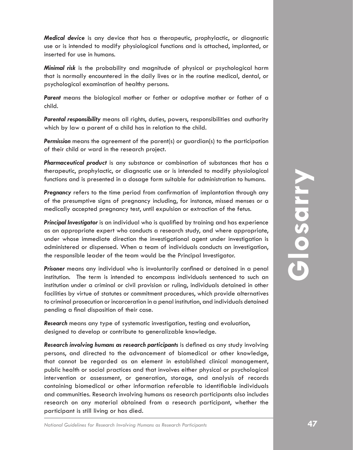*Medical device* is any device that has a therapeutic, prophylactic, or diagnostic use or is intended to modify physiological functions and is attached, implanted, or inserted for use in humans.

*Minimal risk* is the probability and magnitude of physical or psychological harm that is normally encountered in the daily lives or in the routine medical, dental, or psychological examination of healthy persons.

*Parent* means the biological mother or father or adoptive mother or father of a child.

*Parental responsibility* means all rights, duties, powers, responsibilities and authority which by law a parent of a child has in relation to the child.

*Permission* means the agreement of the parent(s) or guardian(s) to the participation of their child or ward in the research project.

*Pharmaceutical product* is any substance or combination of substances that has a therapeutic, prophylactic, or diagnostic use or is intended to modify physiological functions and is presented in a dosage form suitable for administration to humans.

*Pregnancy* refers to the time period from confirmation of implantation through any of the presumptive signs of pregnancy including, for instance, missed menses or a medically accepted pregnancy test, until expulsion or extraction of the fetus.

*Principal Investigator* is an individual who is qualified by training and has experience as an appropriate expert who conducts a research study, and where appropriate, under whose immediate direction the investigational agent under investigation is administered or dispensed. When a team of individuals conducts an investigation, the responsible leader of the team would be the Principal Investigator.

*Prisoner* means any individual who is involuntarily confined or detained in a penal institution. The term is intended to encompass individuals sentenced to such an institution under a criminal or civil provision or ruling, individuals detained in other facilities by virtue of statutes or commitment procedures, which provide alternatives to criminal prosecution or incarceration in a penal institution, and individuals detained pending a final disposition of their case.

*Research* means any type of systematic investigation, testing and evaluation, designed to develop or contribute to generalizable knowledge.

**Mational Guidelines is an initial of the modeline of the model of modify physiological<br>
Are throughout the present of the period from confirmation of implantation to humans.<br>
<b>Pregnancy** refers to the time period from con *Research involving humans as research participants* is defined as any study involving persons, and directed to the advancement of biomedical or other knowledge, that cannot be regarded as an element in established clinical management, public health or social practices and that involves either physical or psychological intervention or assessment, or generation, storage, and analysis of records containing biomedical or other information referable to identifiable individuals and communities. Research involving humans as research participants also includes research on any material obtained from a research participant, whether the participant is still living or has died.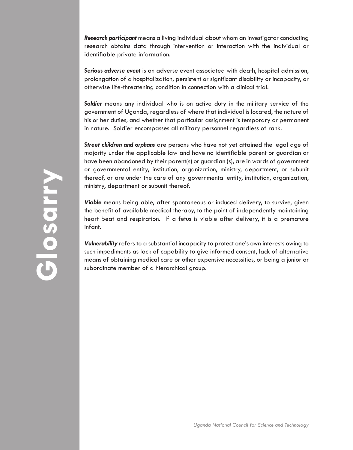*Research participant* means a living individual about whom an investigator conducting research obtains data through intervention or interaction with the individual or identifiable private information.

*Serious adverse event* is an adverse event associated with death, hospital admission, prolongation of a hospitalization, persistent or significant disability or incapacity, or otherwise life-threatening condition in connection with a clinical trial.

*Soldier* means any individual who is on active duty in the military service of the government of Uganda, regardless of where that individual is located, the nature of his or her duties, and whether that particular assignment is temporary or permanent in nature. Soldier encompasses all military personnel regardless of rank.

*Street children and orphans* are persons who have not yet attained the legal age of majority under the applicable law and have no identifiable parent or guardian or have been abandoned by their parent(s) or guardian (s), are in wards of government or governmental entity, institution, organization, ministry, department, or subunit thereof, or are under the care of any governmental entity, institution, organization, ministry, department or subunit thereof.

*Viable* means being able, after spontaneous or induced delivery, to survive, given the benefit of available medical therapy, to the point of independently maintaining heart beat and respiration. If a fetus is viable after delivery, it is a premature infant.

*Vulnerability* refers to a substantial incapacity to protect one's own interests owing to such impediments as lack of capability to give informed consent, lack of alternative means of obtaining medical care or other expensive necessities, or being a junior or subordinate member of a hierarchical group.